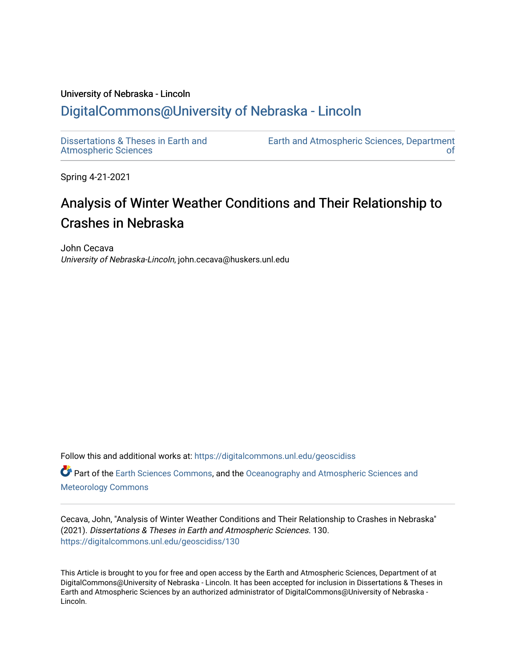# University of Nebraska - Lincoln [DigitalCommons@University of Nebraska - Lincoln](https://digitalcommons.unl.edu/)

[Dissertations & Theses in Earth and](https://digitalcommons.unl.edu/geoscidiss)  [Atmospheric Sciences](https://digitalcommons.unl.edu/geoscidiss)

[Earth and Atmospheric Sciences, Department](https://digitalcommons.unl.edu/geosciences)  [of](https://digitalcommons.unl.edu/geosciences) 

Spring 4-21-2021

# Analysis of Winter Weather Conditions and Their Relationship to Crashes in Nebraska

John Cecava University of Nebraska-Lincoln, john.cecava@huskers.unl.edu

Follow this and additional works at: [https://digitalcommons.unl.edu/geoscidiss](https://digitalcommons.unl.edu/geoscidiss?utm_source=digitalcommons.unl.edu%2Fgeoscidiss%2F130&utm_medium=PDF&utm_campaign=PDFCoverPages)

Part of the [Earth Sciences Commons,](http://network.bepress.com/hgg/discipline/153?utm_source=digitalcommons.unl.edu%2Fgeoscidiss%2F130&utm_medium=PDF&utm_campaign=PDFCoverPages) and the [Oceanography and Atmospheric Sciences and](http://network.bepress.com/hgg/discipline/186?utm_source=digitalcommons.unl.edu%2Fgeoscidiss%2F130&utm_medium=PDF&utm_campaign=PDFCoverPages) [Meteorology Commons](http://network.bepress.com/hgg/discipline/186?utm_source=digitalcommons.unl.edu%2Fgeoscidiss%2F130&utm_medium=PDF&utm_campaign=PDFCoverPages)

Cecava, John, "Analysis of Winter Weather Conditions and Their Relationship to Crashes in Nebraska" (2021). Dissertations & Theses in Earth and Atmospheric Sciences. 130. [https://digitalcommons.unl.edu/geoscidiss/130](https://digitalcommons.unl.edu/geoscidiss/130?utm_source=digitalcommons.unl.edu%2Fgeoscidiss%2F130&utm_medium=PDF&utm_campaign=PDFCoverPages) 

This Article is brought to you for free and open access by the Earth and Atmospheric Sciences, Department of at DigitalCommons@University of Nebraska - Lincoln. It has been accepted for inclusion in Dissertations & Theses in Earth and Atmospheric Sciences by an authorized administrator of DigitalCommons@University of Nebraska - Lincoln.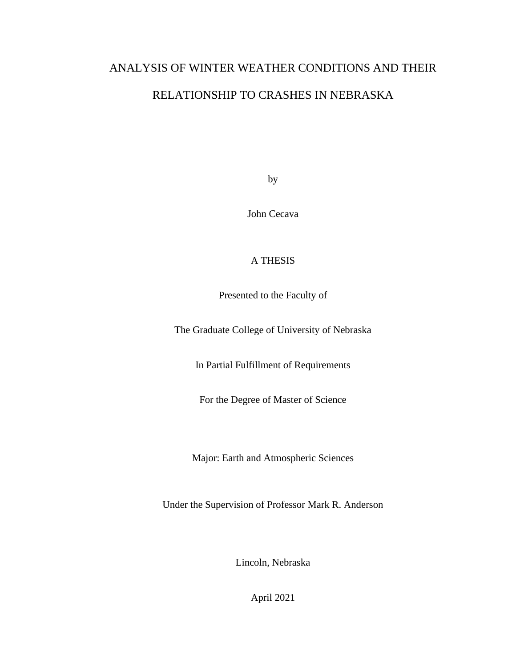## ANALYSIS OF WINTER WEATHER CONDITIONS AND THEIR

## RELATIONSHIP TO CRASHES IN NEBRASKA

by

John Cecava

## A THESIS

Presented to the Faculty of

The Graduate College of University of Nebraska

In Partial Fulfillment of Requirements

For the Degree of Master of Science

Major: Earth and Atmospheric Sciences

Under the Supervision of Professor Mark R. Anderson

Lincoln, Nebraska

April 2021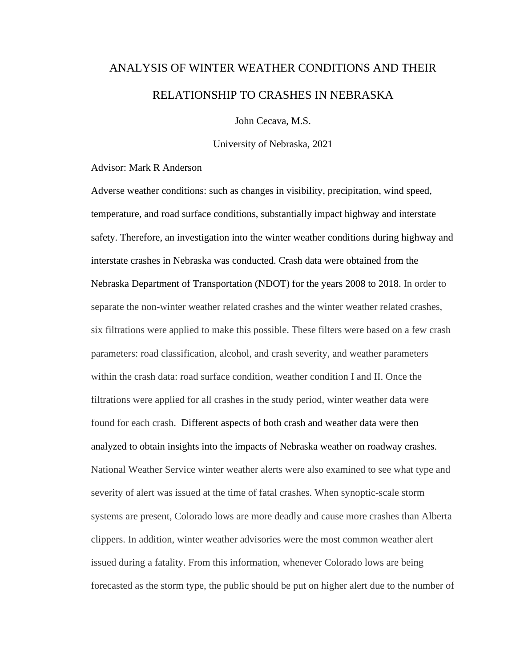# ANALYSIS OF WINTER WEATHER CONDITIONS AND THEIR RELATIONSHIP TO CRASHES IN NEBRASKA

John Cecava, M.S.

University of Nebraska, 2021

Advisor: Mark R Anderson

Adverse weather conditions: such as changes in visibility, precipitation, wind speed, temperature, and road surface conditions, substantially impact highway and interstate safety. Therefore, an investigation into the winter weather conditions during highway and interstate crashes in Nebraska was conducted. Crash data were obtained from the Nebraska Department of Transportation (NDOT) for the years 2008 to 2018. In order to separate the non-winter weather related crashes and the winter weather related crashes, six filtrations were applied to make this possible. These filters were based on a few crash parameters: road classification, alcohol, and crash severity, and weather parameters within the crash data: road surface condition, weather condition I and II. Once the filtrations were applied for all crashes in the study period, winter weather data were found for each crash. Different aspects of both crash and weather data were then analyzed to obtain insights into the impacts of Nebraska weather on roadway crashes. National Weather Service winter weather alerts were also examined to see what type and severity of alert was issued at the time of fatal crashes. When synoptic-scale storm systems are present, Colorado lows are more deadly and cause more crashes than Alberta clippers. In addition, winter weather advisories were the most common weather alert issued during a fatality. From this information, whenever Colorado lows are being forecasted as the storm type, the public should be put on higher alert due to the number of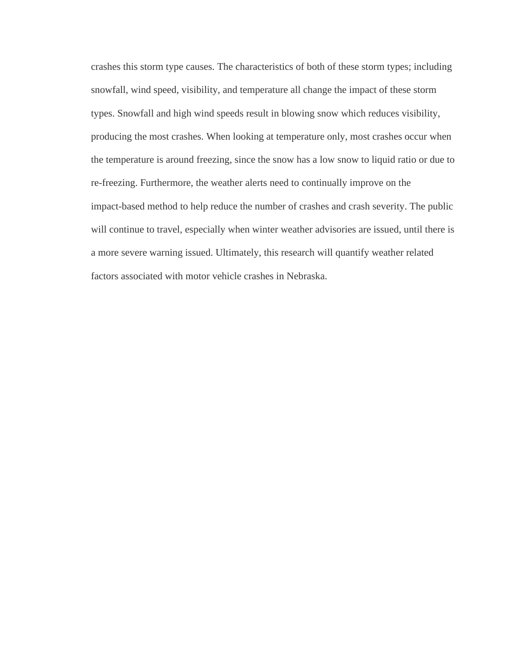crashes this storm type causes. The characteristics of both of these storm types; including snowfall, wind speed, visibility, and temperature all change the impact of these storm types. Snowfall and high wind speeds result in blowing snow which reduces visibility, producing the most crashes. When looking at temperature only, most crashes occur when the temperature is around freezing, since the snow has a low snow to liquid ratio or due to re-freezing. Furthermore, the weather alerts need to continually improve on the impact-based method to help reduce the number of crashes and crash severity. The public will continue to travel, especially when winter weather advisories are issued, until there is a more severe warning issued. Ultimately, this research will quantify weather related factors associated with motor vehicle crashes in Nebraska.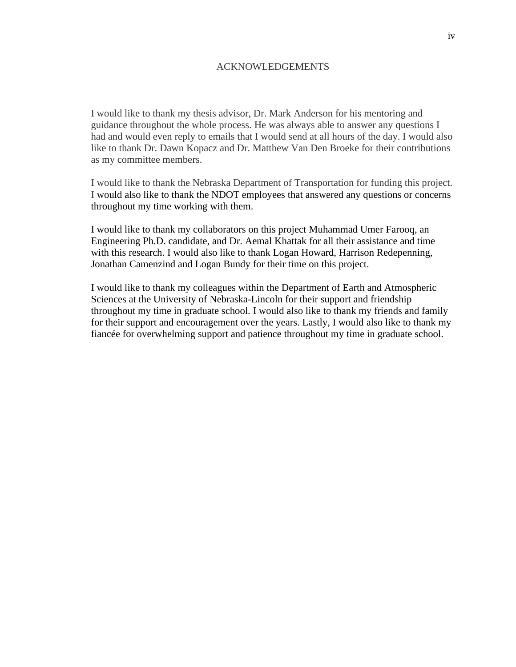## ACKNOWLEDGEMENTS

I would like to thank my thesis advisor, Dr. Mark Anderson for his mentoring and guidance throughout the whole process. He was always able to answer any questions I had and would even reply to emails that I would send at all hours of the day. I would also like to thank Dr. Dawn Kopacz and Dr. Matthew Van Den Broeke for their contributions as my committee members.

I would like to thank the Nebraska Department of Transportation for funding this project. I would also like to thank the NDOT employees that answered any questions or concerns throughout my time working with them.

I would like to thank my collaborators on this project Muhammad Umer Farooq, an Engineering Ph.D. candidate, and Dr. Aemal Khattak for all their assistance and time with this research. I would also like to thank Logan Howard, Harrison Redepenning, Jonathan Camenzind and Logan Bundy for their time on this project.

I would like to thank my colleagues within the Department of Earth and Atmospheric Sciences at the University of Nebraska-Lincoln for their support and friendship throughout my time in graduate school. I would also like to thank my friends and family for their support and encouragement over the years. Lastly, I would also like to thank my fiancée for overwhelming support and patience throughout my time in graduate school.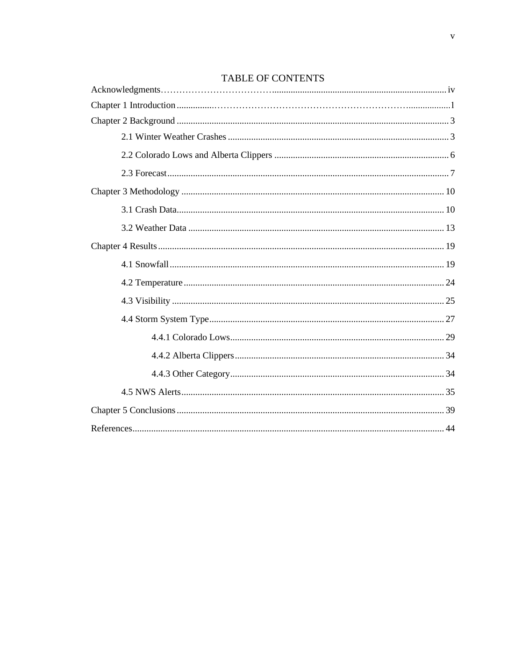## TABLE OF CONTENTS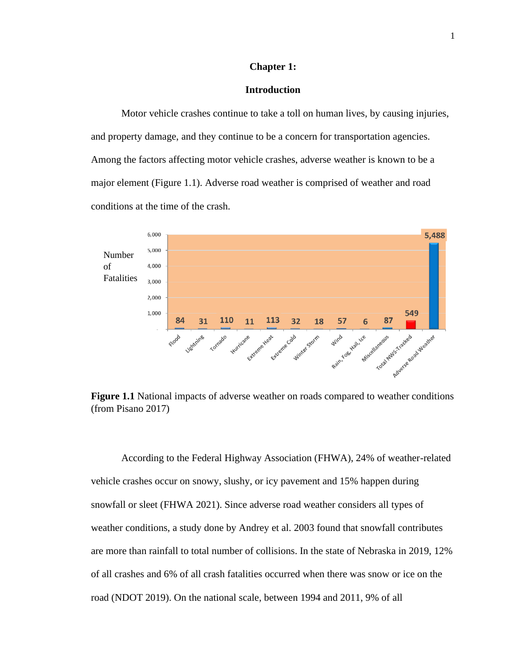## **Chapter 1:**

## **Introduction**

Motor vehicle crashes continue to take a toll on human lives, by causing injuries, and property damage, and they continue to be a concern for transportation agencies. Among the factors affecting motor vehicle crashes, adverse weather is known to be a major element (Figure 1.1). Adverse road weather is comprised of weather and road conditions at the time of the crash.



**Figure 1.1** National impacts of adverse weather on roads compared to weather conditions (from Pisano 2017)

According to the Federal Highway Association (FHWA), 24% of weather-related vehicle crashes occur on snowy, slushy, or icy pavement and 15% happen during snowfall or sleet (FHWA 2021). Since adverse road weather considers all types of weather conditions, a study done by Andrey et al. 2003 found that snowfall contributes are more than rainfall to total number of collisions. In the state of Nebraska in 2019, 12% of all crashes and 6% of all crash fatalities occurred when there was snow or ice on the road (NDOT 2019). On the national scale, between 1994 and 2011, 9% of all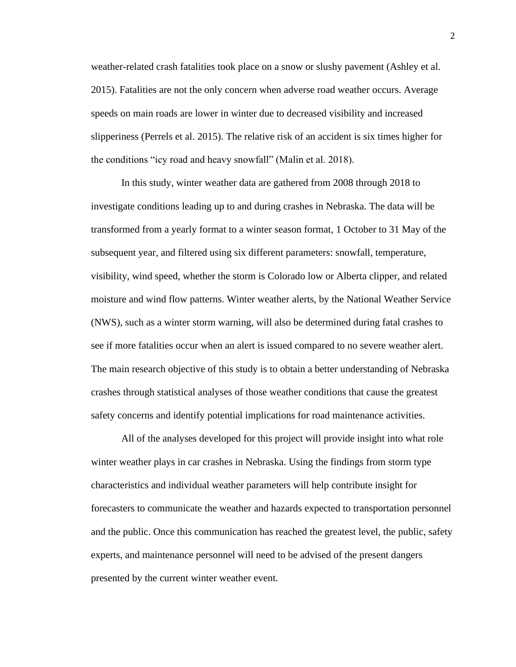weather-related crash fatalities took place on a snow or slushy pavement (Ashley et al. 2015). Fatalities are not the only concern when adverse road weather occurs. Average speeds on main roads are lower in winter due to decreased visibility and increased slipperiness (Perrels et al. 2015). The relative risk of an accident is six times higher for the conditions "icy road and heavy snowfall" (Malin et al. 2018).

In this study, winter weather data are gathered from 2008 through 2018 to investigate conditions leading up to and during crashes in Nebraska. The data will be transformed from a yearly format to a winter season format, 1 October to 31 May of the subsequent year, and filtered using six different parameters: snowfall, temperature, visibility, wind speed, whether the storm is Colorado low or Alberta clipper, and related moisture and wind flow patterns. Winter weather alerts, by the National Weather Service (NWS), such as a winter storm warning, will also be determined during fatal crashes to see if more fatalities occur when an alert is issued compared to no severe weather alert. The main research objective of this study is to obtain a better understanding of Nebraska crashes through statistical analyses of those weather conditions that cause the greatest safety concerns and identify potential implications for road maintenance activities.

All of the analyses developed for this project will provide insight into what role winter weather plays in car crashes in Nebraska. Using the findings from storm type characteristics and individual weather parameters will help contribute insight for forecasters to communicate the weather and hazards expected to transportation personnel and the public. Once this communication has reached the greatest level, the public, safety experts, and maintenance personnel will need to be advised of the present dangers presented by the current winter weather event.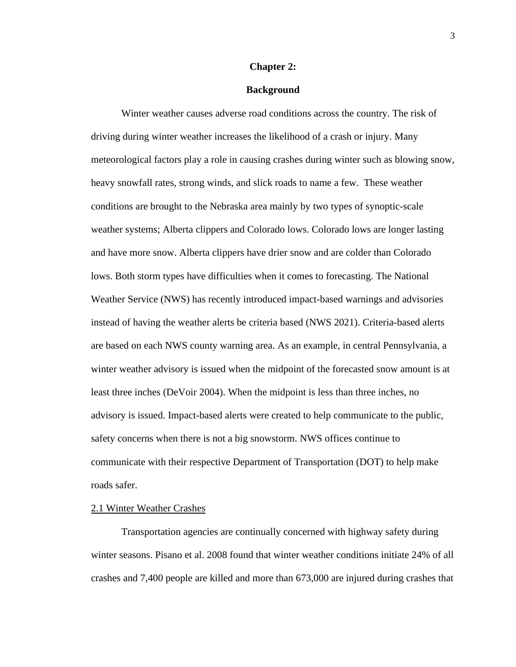### **Chapter 2:**

## **Background**

Winter weather causes adverse road conditions across the country. The risk of driving during winter weather increases the likelihood of a crash or injury. Many meteorological factors play a role in causing crashes during winter such as blowing snow, heavy snowfall rates, strong winds, and slick roads to name a few. These weather conditions are brought to the Nebraska area mainly by two types of synoptic-scale weather systems; Alberta clippers and Colorado lows. Colorado lows are longer lasting and have more snow. Alberta clippers have drier snow and are colder than Colorado lows. Both storm types have difficulties when it comes to forecasting. The National Weather Service (NWS) has recently introduced impact-based warnings and advisories instead of having the weather alerts be criteria based (NWS 2021). Criteria-based alerts are based on each NWS county warning area. As an example, in central Pennsylvania, a winter weather advisory is issued when the midpoint of the forecasted snow amount is at least three inches (DeVoir 2004). When the midpoint is less than three inches, no advisory is issued. Impact-based alerts were created to help communicate to the public, safety concerns when there is not a big snowstorm. NWS offices continue to communicate with their respective Department of Transportation (DOT) to help make roads safer.

## 2.1 Winter Weather Crashes

Transportation agencies are continually concerned with highway safety during winter seasons. Pisano et al. 2008 found that winter weather conditions initiate 24% of all crashes and 7,400 people are killed and more than 673,000 are injured during crashes that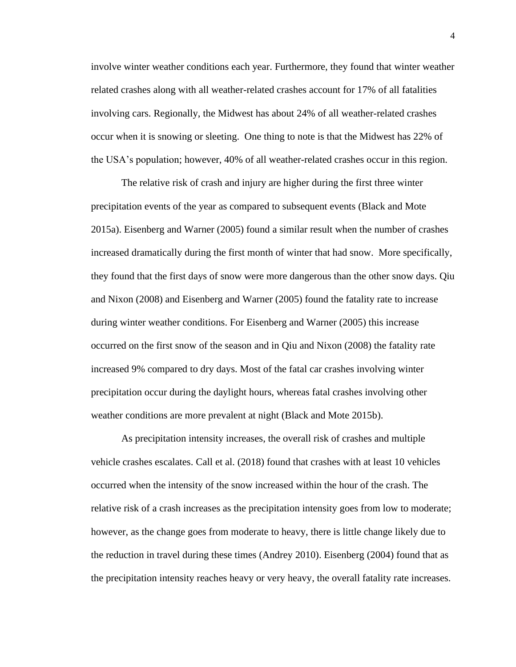involve winter weather conditions each year. Furthermore, they found that winter weather related crashes along with all weather-related crashes account for 17% of all fatalities involving cars. Regionally, the Midwest has about 24% of all weather-related crashes occur when it is snowing or sleeting. One thing to note is that the Midwest has 22% of the USA's population; however, 40% of all weather-related crashes occur in this region.

The relative risk of crash and injury are higher during the first three winter precipitation events of the year as compared to subsequent events (Black and Mote 2015a). Eisenberg and Warner (2005) found a similar result when the number of crashes increased dramatically during the first month of winter that had snow. More specifically, they found that the first days of snow were more dangerous than the other snow days. Qiu and Nixon (2008) and Eisenberg and Warner (2005) found the fatality rate to increase during winter weather conditions. For Eisenberg and Warner (2005) this increase occurred on the first snow of the season and in Qiu and Nixon (2008) the fatality rate increased 9% compared to dry days. Most of the fatal car crashes involving winter precipitation occur during the daylight hours, whereas fatal crashes involving other weather conditions are more prevalent at night (Black and Mote 2015b).

As precipitation intensity increases, the overall risk of crashes and multiple vehicle crashes escalates. Call et al. (2018) found that crashes with at least 10 vehicles occurred when the intensity of the snow increased within the hour of the crash. The relative risk of a crash increases as the precipitation intensity goes from low to moderate; however, as the change goes from moderate to heavy, there is little change likely due to the reduction in travel during these times (Andrey 2010). Eisenberg (2004) found that as the precipitation intensity reaches heavy or very heavy, the overall fatality rate increases.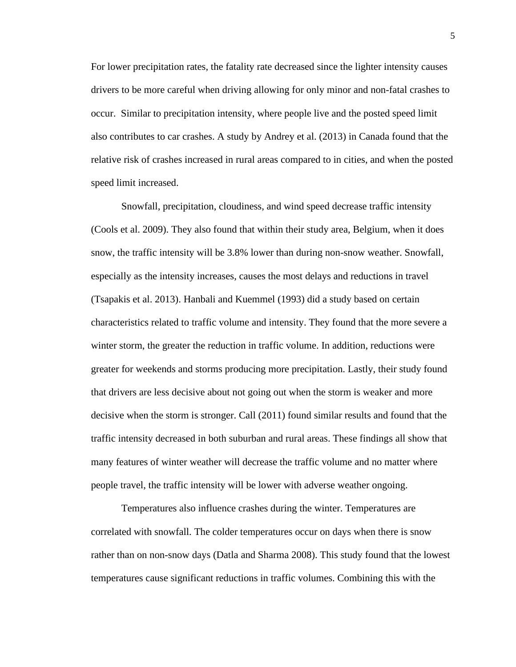For lower precipitation rates, the fatality rate decreased since the lighter intensity causes drivers to be more careful when driving allowing for only minor and non-fatal crashes to occur. Similar to precipitation intensity, where people live and the posted speed limit also contributes to car crashes. A study by Andrey et al. (2013) in Canada found that the relative risk of crashes increased in rural areas compared to in cities, and when the posted speed limit increased.

Snowfall, precipitation, cloudiness, and wind speed decrease traffic intensity (Cools et al. 2009). They also found that within their study area, Belgium, when it does snow, the traffic intensity will be 3.8% lower than during non-snow weather. Snowfall, especially as the intensity increases, causes the most delays and reductions in travel (Tsapakis et al. 2013). Hanbali and Kuemmel (1993) did a study based on certain characteristics related to traffic volume and intensity. They found that the more severe a winter storm, the greater the reduction in traffic volume. In addition, reductions were greater for weekends and storms producing more precipitation. Lastly, their study found that drivers are less decisive about not going out when the storm is weaker and more decisive when the storm is stronger. Call (2011) found similar results and found that the traffic intensity decreased in both suburban and rural areas. These findings all show that many features of winter weather will decrease the traffic volume and no matter where people travel, the traffic intensity will be lower with adverse weather ongoing.

Temperatures also influence crashes during the winter. Temperatures are correlated with snowfall. The colder temperatures occur on days when there is snow rather than on non-snow days (Datla and Sharma 2008). This study found that the lowest temperatures cause significant reductions in traffic volumes. Combining this with the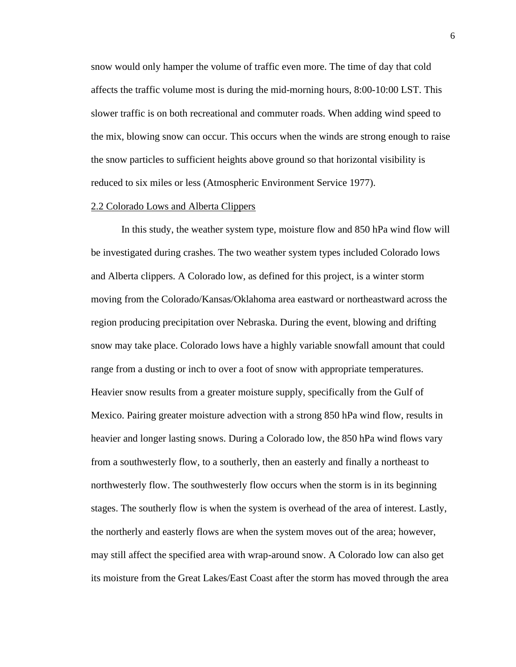snow would only hamper the volume of traffic even more. The time of day that cold affects the traffic volume most is during the mid-morning hours, 8:00-10:00 LST. This slower traffic is on both recreational and commuter roads. When adding wind speed to the mix, blowing snow can occur. This occurs when the winds are strong enough to raise the snow particles to sufficient heights above ground so that horizontal visibility is reduced to six miles or less (Atmospheric Environment Service 1977).

## 2.2 Colorado Lows and Alberta Clippers

In this study, the weather system type, moisture flow and 850 hPa wind flow will be investigated during crashes. The two weather system types included Colorado lows and Alberta clippers. A Colorado low, as defined for this project, is a winter storm moving from the Colorado/Kansas/Oklahoma area eastward or northeastward across the region producing precipitation over Nebraska. During the event, blowing and drifting snow may take place. Colorado lows have a highly variable snowfall amount that could range from a dusting or inch to over a foot of snow with appropriate temperatures. Heavier snow results from a greater moisture supply, specifically from the Gulf of Mexico. Pairing greater moisture advection with a strong 850 hPa wind flow, results in heavier and longer lasting snows. During a Colorado low, the 850 hPa wind flows vary from a southwesterly flow, to a southerly, then an easterly and finally a northeast to northwesterly flow. The southwesterly flow occurs when the storm is in its beginning stages. The southerly flow is when the system is overhead of the area of interest. Lastly, the northerly and easterly flows are when the system moves out of the area; however, may still affect the specified area with wrap-around snow. A Colorado low can also get its moisture from the Great Lakes/East Coast after the storm has moved through the area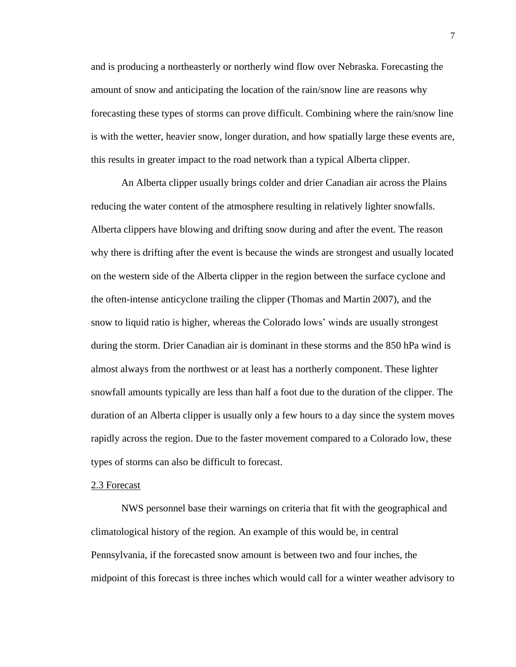and is producing a northeasterly or northerly wind flow over Nebraska. Forecasting the amount of snow and anticipating the location of the rain/snow line are reasons why forecasting these types of storms can prove difficult. Combining where the rain/snow line is with the wetter, heavier snow, longer duration, and how spatially large these events are, this results in greater impact to the road network than a typical Alberta clipper.

An Alberta clipper usually brings colder and drier Canadian air across the Plains reducing the water content of the atmosphere resulting in relatively lighter snowfalls. Alberta clippers have blowing and drifting snow during and after the event. The reason why there is drifting after the event is because the winds are strongest and usually located on the western side of the Alberta clipper in the region between the surface cyclone and the often-intense anticyclone trailing the clipper (Thomas and Martin 2007), and the snow to liquid ratio is higher, whereas the Colorado lows' winds are usually strongest during the storm. Drier Canadian air is dominant in these storms and the 850 hPa wind is almost always from the northwest or at least has a northerly component. These lighter snowfall amounts typically are less than half a foot due to the duration of the clipper. The duration of an Alberta clipper is usually only a few hours to a day since the system moves rapidly across the region. Due to the faster movement compared to a Colorado low, these types of storms can also be difficult to forecast.

## 2.3 Forecast

NWS personnel base their warnings on criteria that fit with the geographical and climatological history of the region. An example of this would be, in central Pennsylvania, if the forecasted snow amount is between two and four inches, the midpoint of this forecast is three inches which would call for a winter weather advisory to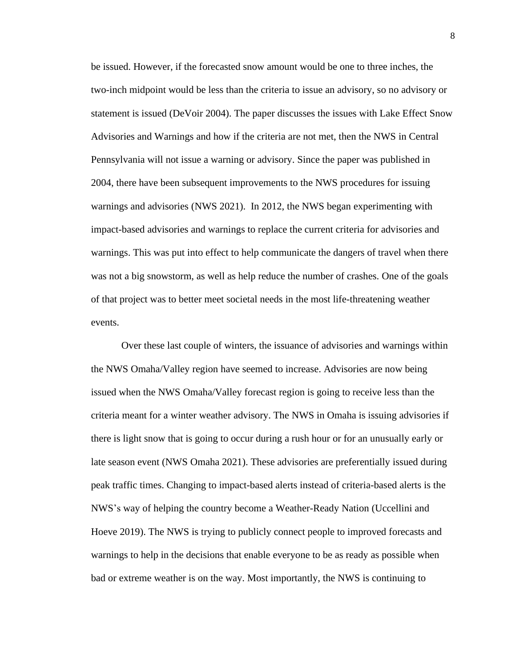be issued. However, if the forecasted snow amount would be one to three inches, the two-inch midpoint would be less than the criteria to issue an advisory, so no advisory or statement is issued (DeVoir 2004). The paper discusses the issues with Lake Effect Snow Advisories and Warnings and how if the criteria are not met, then the NWS in Central Pennsylvania will not issue a warning or advisory. Since the paper was published in 2004, there have been subsequent improvements to the NWS procedures for issuing warnings and advisories (NWS 2021). In 2012, the NWS began experimenting with impact-based advisories and warnings to replace the current criteria for advisories and warnings. This was put into effect to help communicate the dangers of travel when there was not a big snowstorm, as well as help reduce the number of crashes. One of the goals of that project was to better meet societal needs in the most life-threatening weather events.

Over these last couple of winters, the issuance of advisories and warnings within the NWS Omaha/Valley region have seemed to increase. Advisories are now being issued when the NWS Omaha/Valley forecast region is going to receive less than the criteria meant for a winter weather advisory. The NWS in Omaha is issuing advisories if there is light snow that is going to occur during a rush hour or for an unusually early or late season event (NWS Omaha 2021). These advisories are preferentially issued during peak traffic times. Changing to impact-based alerts instead of criteria-based alerts is the NWS's way of helping the country become a Weather-Ready Nation (Uccellini and Hoeve 2019). The NWS is trying to publicly connect people to improved forecasts and warnings to help in the decisions that enable everyone to be as ready as possible when bad or extreme weather is on the way. Most importantly, the NWS is continuing to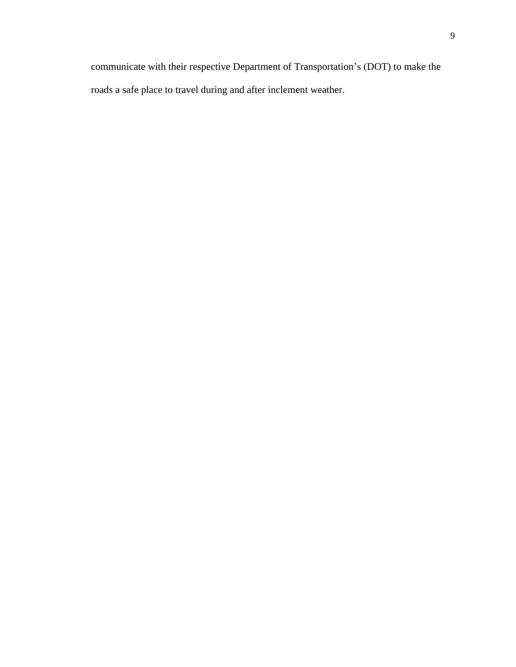communicate with their respective Department of Transportation's (DOT) to make the roads a safe place to travel during and after inclement weather.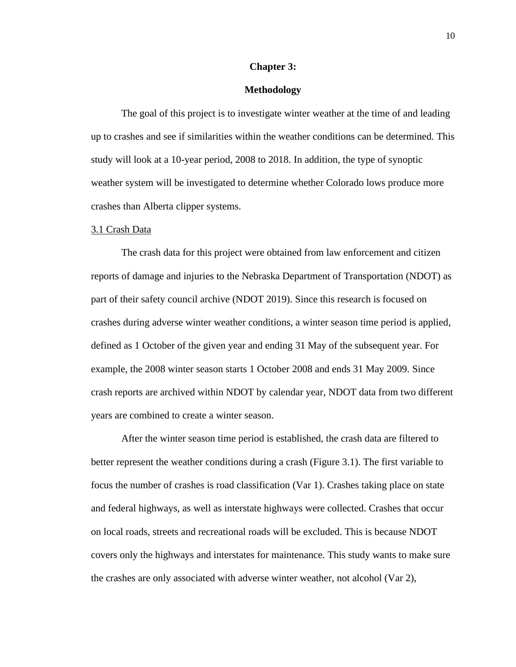#### **Chapter 3:**

## **Methodology**

The goal of this project is to investigate winter weather at the time of and leading up to crashes and see if similarities within the weather conditions can be determined. This study will look at a 10-year period, 2008 to 2018. In addition, the type of synoptic weather system will be investigated to determine whether Colorado lows produce more crashes than Alberta clipper systems.

#### 3.1 Crash Data

The crash data for this project were obtained from law enforcement and citizen reports of damage and injuries to the Nebraska Department of Transportation (NDOT) as part of their safety council archive (NDOT 2019). Since this research is focused on crashes during adverse winter weather conditions, a winter season time period is applied, defined as 1 October of the given year and ending 31 May of the subsequent year. For example, the 2008 winter season starts 1 October 2008 and ends 31 May 2009. Since crash reports are archived within NDOT by calendar year, NDOT data from two different years are combined to create a winter season.

After the winter season time period is established, the crash data are filtered to better represent the weather conditions during a crash (Figure 3.1). The first variable to focus the number of crashes is road classification (Var 1). Crashes taking place on state and federal highways, as well as interstate highways were collected. Crashes that occur on local roads, streets and recreational roads will be excluded. This is because NDOT covers only the highways and interstates for maintenance. This study wants to make sure the crashes are only associated with adverse winter weather, not alcohol (Var 2),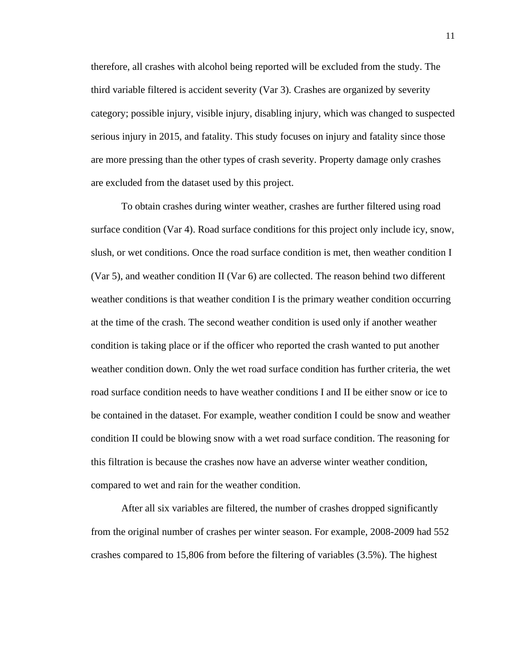therefore, all crashes with alcohol being reported will be excluded from the study. The third variable filtered is accident severity (Var 3). Crashes are organized by severity category; possible injury, visible injury, disabling injury, which was changed to suspected serious injury in 2015, and fatality. This study focuses on injury and fatality since those are more pressing than the other types of crash severity. Property damage only crashes are excluded from the dataset used by this project.

To obtain crashes during winter weather, crashes are further filtered using road surface condition (Var 4). Road surface conditions for this project only include icy, snow, slush, or wet conditions. Once the road surface condition is met, then weather condition I (Var 5), and weather condition II (Var 6) are collected. The reason behind two different weather conditions is that weather condition I is the primary weather condition occurring at the time of the crash. The second weather condition is used only if another weather condition is taking place or if the officer who reported the crash wanted to put another weather condition down. Only the wet road surface condition has further criteria, the wet road surface condition needs to have weather conditions I and II be either snow or ice to be contained in the dataset. For example, weather condition I could be snow and weather condition II could be blowing snow with a wet road surface condition. The reasoning for this filtration is because the crashes now have an adverse winter weather condition, compared to wet and rain for the weather condition.

After all six variables are filtered, the number of crashes dropped significantly from the original number of crashes per winter season. For example, 2008-2009 had 552 crashes compared to 15,806 from before the filtering of variables (3.5%). The highest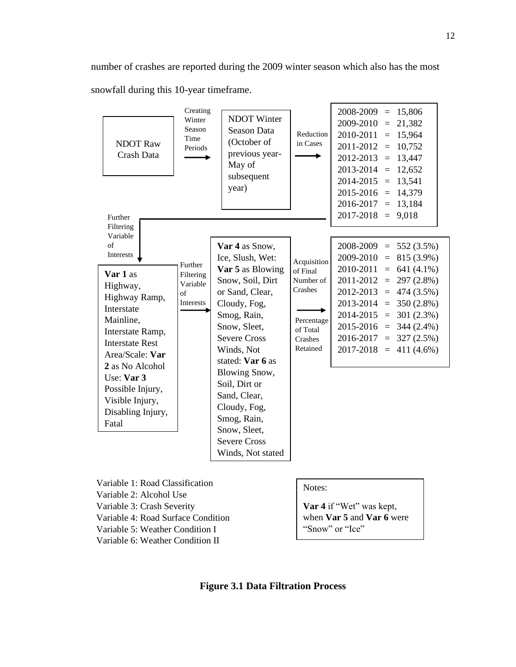number of crashes are reported during the 2009 winter season which also has the most snowfall during this 10-year timeframe.

| <b>NDOT</b> Raw<br>Crash Data<br>Further<br>Filtering<br>Variable                                                                                                                     | Creating<br>Winter<br>Season<br>Time<br>Periods     | <b>NDOT</b> Winter<br>Season Data<br>(October of<br>previous year-<br>May of<br>subsequent<br>year)                                                                                                                                            | Reduction<br>in Cases                                                                            | 2008-2009<br>$= 15,806$<br>$2009 - 2010 =$<br>21,382<br>2010-2011<br>15,964<br>$=$<br>2011-2012<br>10,752<br>$=$<br>2012-2013<br>$= 13,447$<br>$2013 - 2014 = 12,652$<br>13,541<br>$2014 - 2015 =$<br>2015-2016<br>14,379<br>$=$<br>2016-2017<br>13,184<br>$=$<br>9,018<br>2017-2018<br>$=$                     |
|---------------------------------------------------------------------------------------------------------------------------------------------------------------------------------------|-----------------------------------------------------|------------------------------------------------------------------------------------------------------------------------------------------------------------------------------------------------------------------------------------------------|--------------------------------------------------------------------------------------------------|-----------------------------------------------------------------------------------------------------------------------------------------------------------------------------------------------------------------------------------------------------------------------------------------------------------------|
| of<br>Interests<br>Var 1 as<br>Highway,<br>Highway Ramp,<br>Interstate<br>Mainline,<br>Interstate Ramp,<br><b>Interstate Rest</b><br>Area/Scale: Var<br>2 as No Alcohol<br>Use: Var 3 | Further<br>Filtering<br>Variable<br>of<br>Interests | Var 4 as Snow,<br>Ice, Slush, Wet:<br>Var 5 as Blowing<br>Snow, Soil, Dirt<br>or Sand, Clear,<br>Cloudy, Fog,<br>Smog, Rain,<br>Snow, Sleet,<br><b>Severe Cross</b><br>Winds, Not<br>stated: Var 6 as<br><b>Blowing Snow,</b><br>Soil, Dirt or | Acquisition<br>of Final<br>Number of<br>Crashes<br>Percentage<br>of Total<br>Crashes<br>Retained | 2008-2009<br>$= 552(3.5\%)$<br>2009-2010<br>$= 815(3.9\%)$<br>2010-2011<br>$= 641(4.1\%)$<br>$= 297(2.8\%)$<br>2011-2012<br>2012-2013<br>$= 474(3.5\%)$<br>2013-2014<br>$= 350(2.8\%)$<br>2014-2015<br>$= 301 (2.3\%)$<br>2015-2016<br>$=$ 344 (2.4%)<br>$2016-2017 = 327(2.5%)$<br>$= 411(4.6\%)$<br>2017-2018 |
| Possible Injury,<br>Visible Injury,<br>Disabling Injury,<br>Fatal                                                                                                                     |                                                     | Sand, Clear,<br>Cloudy, Fog,<br>Smog, Rain,<br>Snow, Sleet,<br><b>Severe Cross</b><br>Winds, Not stated                                                                                                                                        |                                                                                                  |                                                                                                                                                                                                                                                                                                                 |
| Variable 1: Road Classification<br>Variable 2: Alcohol Use                                                                                                                            |                                                     |                                                                                                                                                                                                                                                | Notes:                                                                                           |                                                                                                                                                                                                                                                                                                                 |

Variable 3: Crash Severity

Variable 4: Road Surface Condition

Variable 5: Weather Condition I

Variable 6: Weather Condition II

**Var 4** if "Wet" was kept, when **Var 5** and **Var 6** were "Snow" or "Ice"

## **Figure 3.1 Data Filtration Process**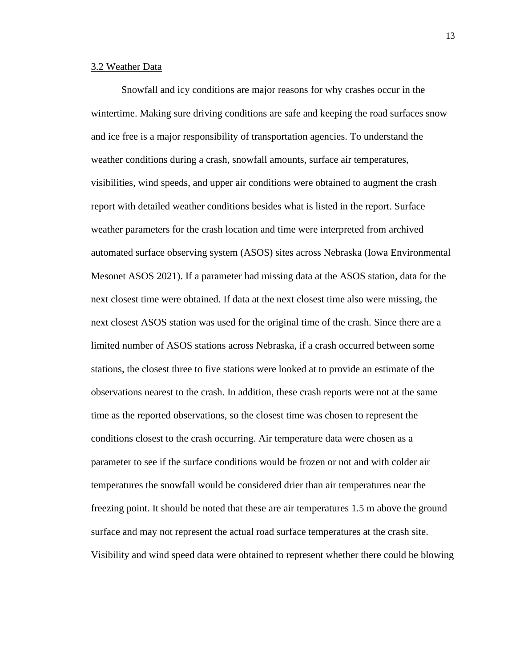## 3.2 Weather Data

Snowfall and icy conditions are major reasons for why crashes occur in the wintertime. Making sure driving conditions are safe and keeping the road surfaces snow and ice free is a major responsibility of transportation agencies. To understand the weather conditions during a crash, snowfall amounts, surface air temperatures, visibilities, wind speeds, and upper air conditions were obtained to augment the crash report with detailed weather conditions besides what is listed in the report. Surface weather parameters for the crash location and time were interpreted from archived automated surface observing system (ASOS) sites across Nebraska (Iowa Environmental Mesonet ASOS 2021). If a parameter had missing data at the ASOS station, data for the next closest time were obtained. If data at the next closest time also were missing, the next closest ASOS station was used for the original time of the crash. Since there are a limited number of ASOS stations across Nebraska, if a crash occurred between some stations, the closest three to five stations were looked at to provide an estimate of the observations nearest to the crash. In addition, these crash reports were not at the same time as the reported observations, so the closest time was chosen to represent the conditions closest to the crash occurring. Air temperature data were chosen as a parameter to see if the surface conditions would be frozen or not and with colder air temperatures the snowfall would be considered drier than air temperatures near the freezing point. It should be noted that these are air temperatures 1.5 m above the ground surface and may not represent the actual road surface temperatures at the crash site. Visibility and wind speed data were obtained to represent whether there could be blowing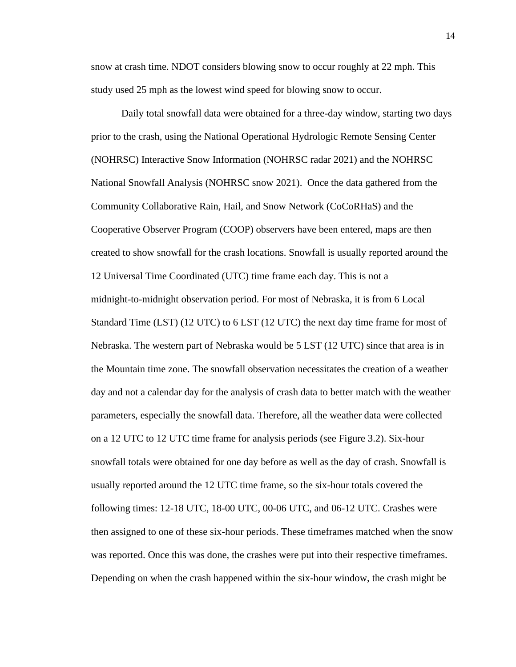snow at crash time. NDOT considers blowing snow to occur roughly at 22 mph. This study used 25 mph as the lowest wind speed for blowing snow to occur.

Daily total snowfall data were obtained for a three-day window, starting two days prior to the crash, using the National Operational Hydrologic Remote Sensing Center (NOHRSC) Interactive Snow Information (NOHRSC radar 2021) and the NOHRSC National Snowfall Analysis (NOHRSC snow 2021). Once the data gathered from the Community Collaborative Rain, Hail, and Snow Network (CoCoRHaS) and the Cooperative Observer Program (COOP) observers have been entered, maps are then created to show snowfall for the crash locations. Snowfall is usually reported around the 12 Universal Time Coordinated (UTC) time frame each day. This is not a midnight-to-midnight observation period. For most of Nebraska, it is from 6 Local Standard Time (LST) (12 UTC) to 6 LST (12 UTC) the next day time frame for most of Nebraska. The western part of Nebraska would be 5 LST (12 UTC) since that area is in the Mountain time zone. The snowfall observation necessitates the creation of a weather day and not a calendar day for the analysis of crash data to better match with the weather parameters, especially the snowfall data. Therefore, all the weather data were collected on a 12 UTC to 12 UTC time frame for analysis periods (see Figure 3.2). Six-hour snowfall totals were obtained for one day before as well as the day of crash. Snowfall is usually reported around the 12 UTC time frame, so the six-hour totals covered the following times: 12-18 UTC, 18-00 UTC, 00-06 UTC, and 06-12 UTC. Crashes were then assigned to one of these six-hour periods. These timeframes matched when the snow was reported. Once this was done, the crashes were put into their respective timeframes. Depending on when the crash happened within the six-hour window, the crash might be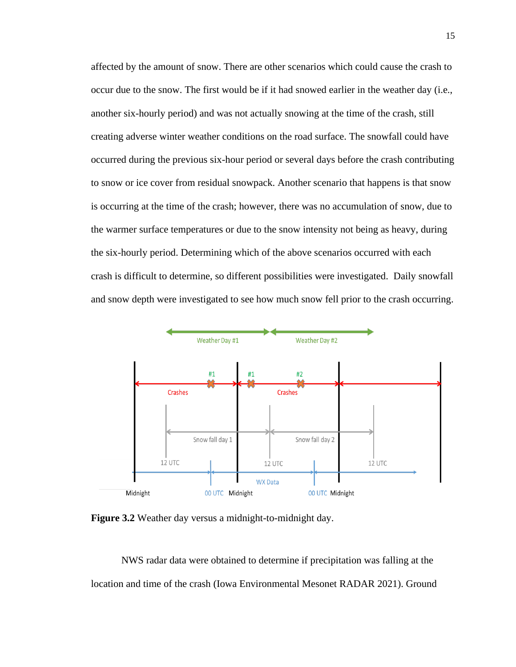affected by the amount of snow. There are other scenarios which could cause the crash to occur due to the snow. The first would be if it had snowed earlier in the weather day (i.e., another six-hourly period) and was not actually snowing at the time of the crash, still creating adverse winter weather conditions on the road surface. The snowfall could have occurred during the previous six-hour period or several days before the crash contributing to snow or ice cover from residual snowpack. Another scenario that happens is that snow is occurring at the time of the crash; however, there was no accumulation of snow, due to the warmer surface temperatures or due to the snow intensity not being as heavy, during the six-hourly period. Determining which of the above scenarios occurred with each crash is difficult to determine, so different possibilities were investigated. Daily snowfall and snow depth were investigated to see how much snow fell prior to the crash occurring.



**Figure 3.2** Weather day versus a midnight-to-midnight day.

NWS radar data were obtained to determine if precipitation was falling at the location and time of the crash (Iowa Environmental Mesonet RADAR 2021). Ground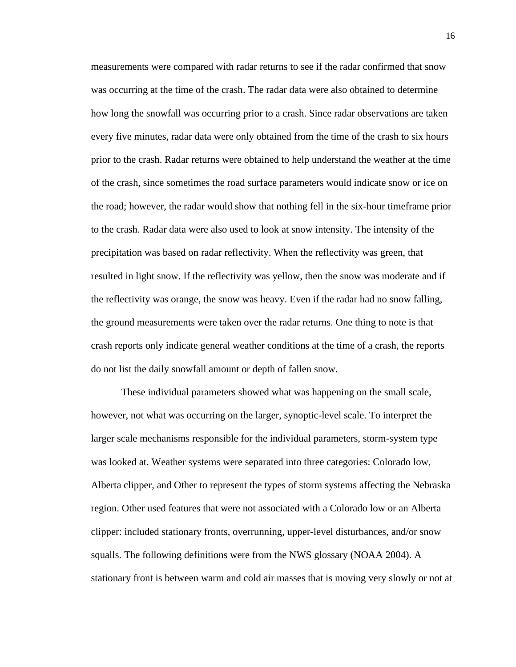measurements were compared with radar returns to see if the radar confirmed that snow was occurring at the time of the crash. The radar data were also obtained to determine how long the snowfall was occurring prior to a crash. Since radar observations are taken every five minutes, radar data were only obtained from the time of the crash to six hours prior to the crash. Radar returns were obtained to help understand the weather at the time of the crash, since sometimes the road surface parameters would indicate snow or ice on the road; however, the radar would show that nothing fell in the six-hour timeframe prior to the crash. Radar data were also used to look at snow intensity. The intensity of the precipitation was based on radar reflectivity. When the reflectivity was green, that resulted in light snow. If the reflectivity was yellow, then the snow was moderate and if the reflectivity was orange, the snow was heavy. Even if the radar had no snow falling, the ground measurements were taken over the radar returns. One thing to note is that crash reports only indicate general weather conditions at the time of a crash, the reports do not list the daily snowfall amount or depth of fallen snow.

These individual parameters showed what was happening on the small scale, however, not what was occurring on the larger, synoptic-level scale. To interpret the larger scale mechanisms responsible for the individual parameters, storm-system type was looked at. Weather systems were separated into three categories: Colorado low, Alberta clipper, and Other to represent the types of storm systems affecting the Nebraska region. Other used features that were not associated with a Colorado low or an Alberta clipper: included stationary fronts, overrunning, upper-level disturbances, and/or snow squalls. The following definitions were from the NWS glossary (NOAA 2004). A stationary front is between warm and cold air masses that is moving very slowly or not at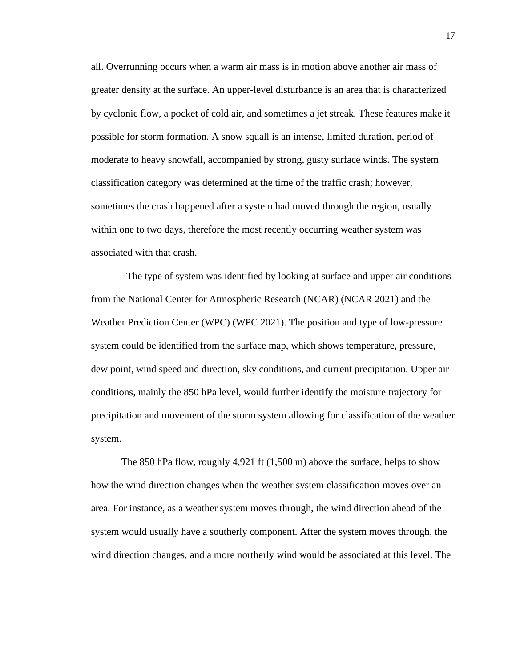all. Overrunning occurs when a warm air mass is in motion above another air mass of greater density at the surface. An upper-level disturbance is an area that is characterized by cyclonic flow, a pocket of cold air, and sometimes a jet streak. These features make it possible for storm formation. A snow squall is an intense, limited duration, period of moderate to heavy snowfall, accompanied by strong, gusty surface winds. The system classification category was determined at the time of the traffic crash; however, sometimes the crash happened after a system had moved through the region, usually within one to two days, therefore the most recently occurring weather system was associated with that crash.

 The type of system was identified by looking at surface and upper air conditions from the National Center for Atmospheric Research (NCAR) (NCAR 2021) and the Weather Prediction Center (WPC) (WPC 2021). The position and type of low-pressure system could be identified from the surface map, which shows temperature, pressure, dew point, wind speed and direction, sky conditions, and current precipitation. Upper air conditions, mainly the 850 hPa level, would further identify the moisture trajectory for precipitation and movement of the storm system allowing for classification of the weather system.

The 850 hPa flow, roughly 4,921 ft (1,500 m) above the surface, helps to show how the wind direction changes when the weather system classification moves over an area. For instance, as a weather system moves through, the wind direction ahead of the system would usually have a southerly component. After the system moves through, the wind direction changes, and a more northerly wind would be associated at this level. The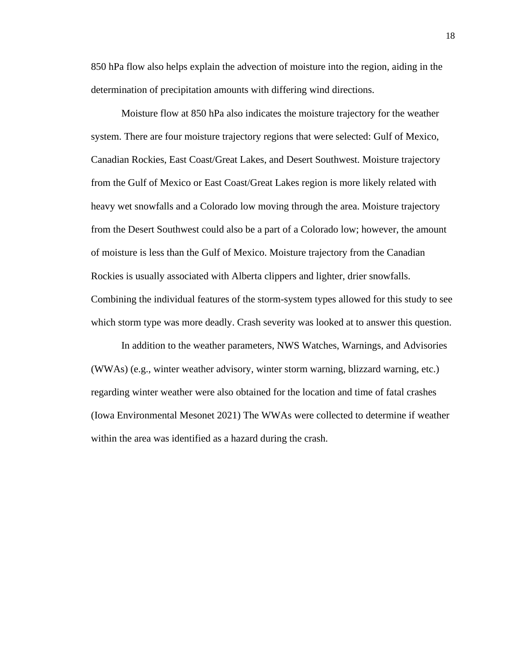850 hPa flow also helps explain the advection of moisture into the region, aiding in the determination of precipitation amounts with differing wind directions.

Moisture flow at 850 hPa also indicates the moisture trajectory for the weather system. There are four moisture trajectory regions that were selected: Gulf of Mexico, Canadian Rockies, East Coast/Great Lakes, and Desert Southwest. Moisture trajectory from the Gulf of Mexico or East Coast/Great Lakes region is more likely related with heavy wet snowfalls and a Colorado low moving through the area. Moisture trajectory from the Desert Southwest could also be a part of a Colorado low; however, the amount of moisture is less than the Gulf of Mexico. Moisture trajectory from the Canadian Rockies is usually associated with Alberta clippers and lighter, drier snowfalls. Combining the individual features of the storm-system types allowed for this study to see which storm type was more deadly. Crash severity was looked at to answer this question.

In addition to the weather parameters, NWS Watches, Warnings, and Advisories (WWAs) (e.g., winter weather advisory, winter storm warning, blizzard warning, etc.) regarding winter weather were also obtained for the location and time of fatal crashes (Iowa Environmental Mesonet 2021) The WWAs were collected to determine if weather within the area was identified as a hazard during the crash.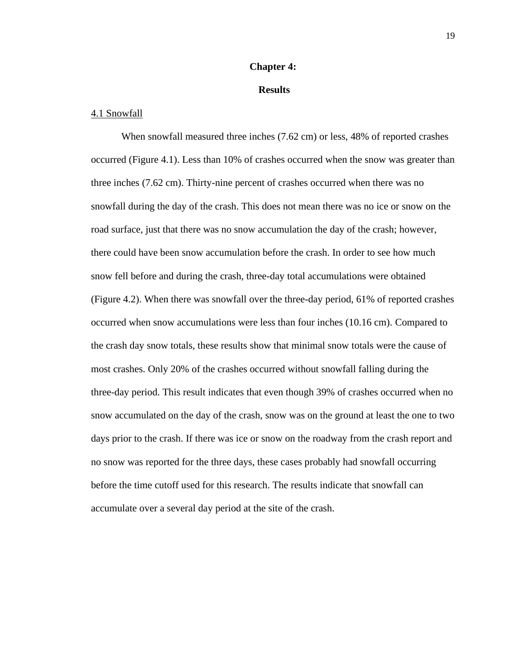## **Chapter 4:**

## **Results**

## 4.1 Snowfall

When snowfall measured three inches (7.62 cm) or less, 48% of reported crashes occurred (Figure 4.1). Less than 10% of crashes occurred when the snow was greater than three inches (7.62 cm). Thirty-nine percent of crashes occurred when there was no snowfall during the day of the crash. This does not mean there was no ice or snow on the road surface, just that there was no snow accumulation the day of the crash; however, there could have been snow accumulation before the crash. In order to see how much snow fell before and during the crash, three-day total accumulations were obtained (Figure 4.2). When there was snowfall over the three-day period, 61% of reported crashes occurred when snow accumulations were less than four inches (10.16 cm). Compared to the crash day snow totals, these results show that minimal snow totals were the cause of most crashes. Only 20% of the crashes occurred without snowfall falling during the three-day period. This result indicates that even though 39% of crashes occurred when no snow accumulated on the day of the crash, snow was on the ground at least the one to two days prior to the crash. If there was ice or snow on the roadway from the crash report and no snow was reported for the three days, these cases probably had snowfall occurring before the time cutoff used for this research. The results indicate that snowfall can accumulate over a several day period at the site of the crash.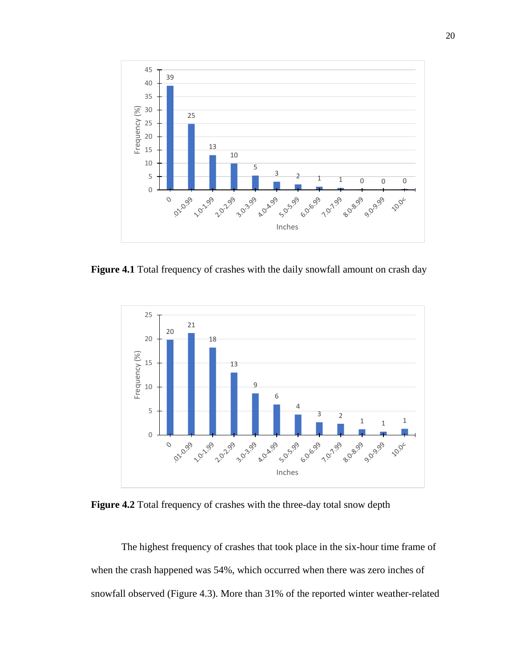

**Figure 4.1** Total frequency of crashes with the daily snowfall amount on crash day



**Figure 4.2** Total frequency of crashes with the three-day total snow depth

The highest frequency of crashes that took place in the six-hour time frame of when the crash happened was 54%, which occurred when there was zero inches of snowfall observed (Figure 4.3). More than 31% of the reported winter weather-related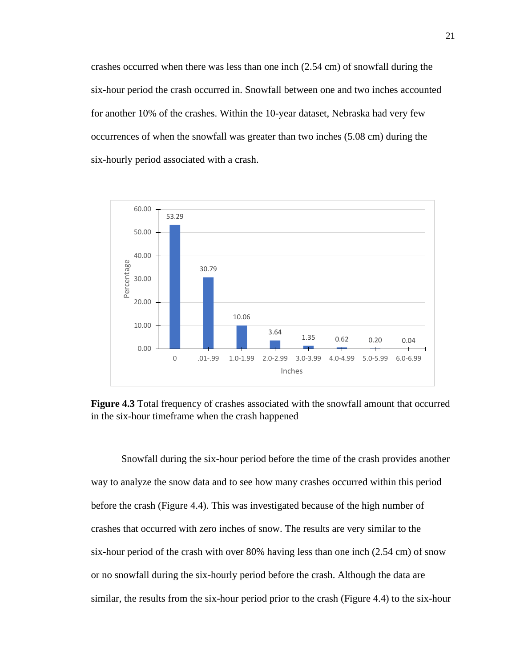crashes occurred when there was less than one inch (2.54 cm) of snowfall during the six-hour period the crash occurred in. Snowfall between one and two inches accounted for another 10% of the crashes. Within the 10-year dataset, Nebraska had very few occurrences of when the snowfall was greater than two inches (5.08 cm) during the six-hourly period associated with a crash.



**Figure 4.3** Total frequency of crashes associated with the snowfall amount that occurred in the six-hour timeframe when the crash happened

Snowfall during the six-hour period before the time of the crash provides another way to analyze the snow data and to see how many crashes occurred within this period before the crash (Figure 4.4). This was investigated because of the high number of crashes that occurred with zero inches of snow. The results are very similar to the six-hour period of the crash with over 80% having less than one inch (2.54 cm) of snow or no snowfall during the six-hourly period before the crash. Although the data are similar, the results from the six-hour period prior to the crash (Figure 4.4) to the six-hour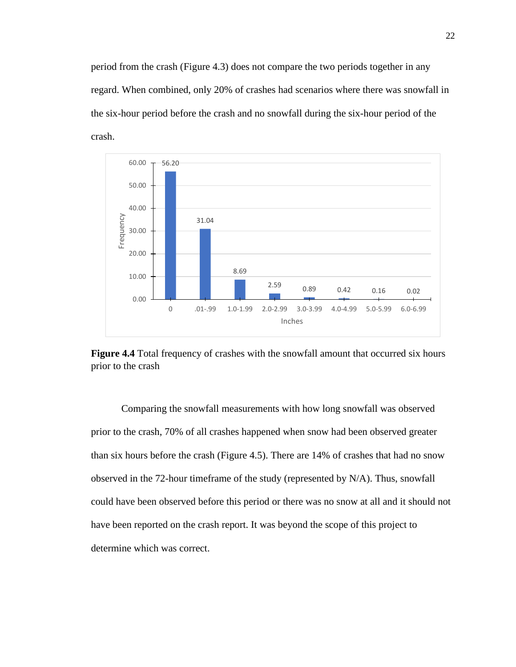period from the crash (Figure 4.3) does not compare the two periods together in any regard. When combined, only 20% of crashes had scenarios where there was snowfall in the six-hour period before the crash and no snowfall during the six-hour period of the crash.





Comparing the snowfall measurements with how long snowfall was observed prior to the crash, 70% of all crashes happened when snow had been observed greater than six hours before the crash (Figure 4.5). There are 14% of crashes that had no snow observed in the 72-hour timeframe of the study (represented by N/A). Thus, snowfall could have been observed before this period or there was no snow at all and it should not have been reported on the crash report. It was beyond the scope of this project to determine which was correct.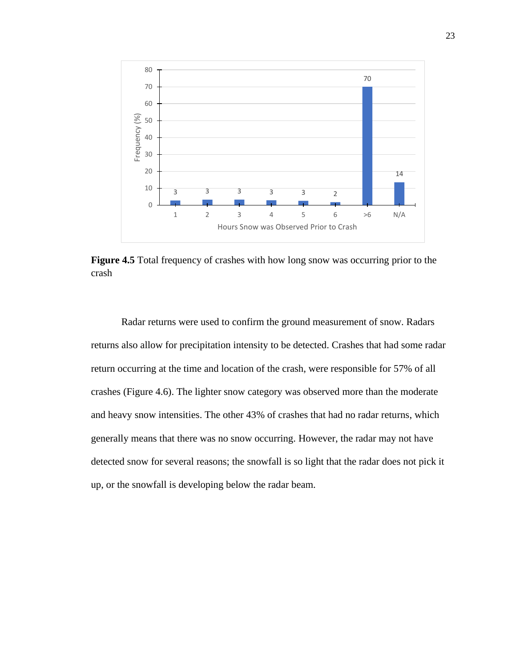

**Figure 4.5** Total frequency of crashes with how long snow was occurring prior to the crash

Radar returns were used to confirm the ground measurement of snow. Radars returns also allow for precipitation intensity to be detected. Crashes that had some radar return occurring at the time and location of the crash, were responsible for 57% of all crashes (Figure 4.6). The lighter snow category was observed more than the moderate and heavy snow intensities. The other 43% of crashes that had no radar returns, which generally means that there was no snow occurring. However, the radar may not have detected snow for several reasons; the snowfall is so light that the radar does not pick it up, or the snowfall is developing below the radar beam.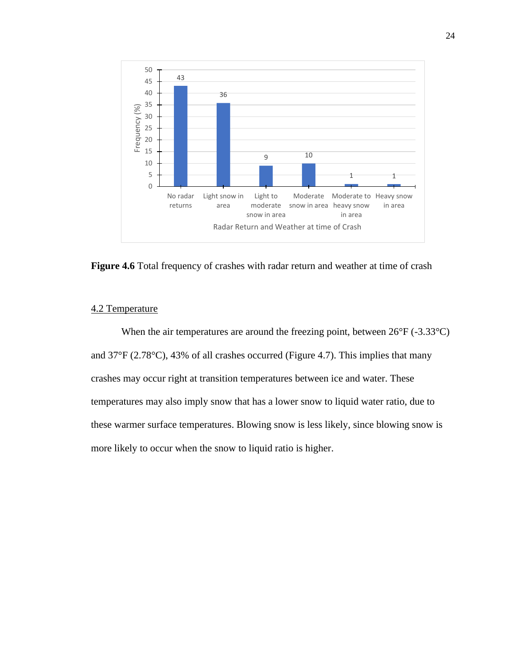

**Figure 4.6** Total frequency of crashes with radar return and weather at time of crash

## 4.2 Temperature

When the air temperatures are around the freezing point, between  $26^{\circ}F(-3.33^{\circ}C)$ and 37°F (2.78°C), 43% of all crashes occurred (Figure 4.7). This implies that many crashes may occur right at transition temperatures between ice and water. These temperatures may also imply snow that has a lower snow to liquid water ratio, due to these warmer surface temperatures. Blowing snow is less likely, since blowing snow is more likely to occur when the snow to liquid ratio is higher.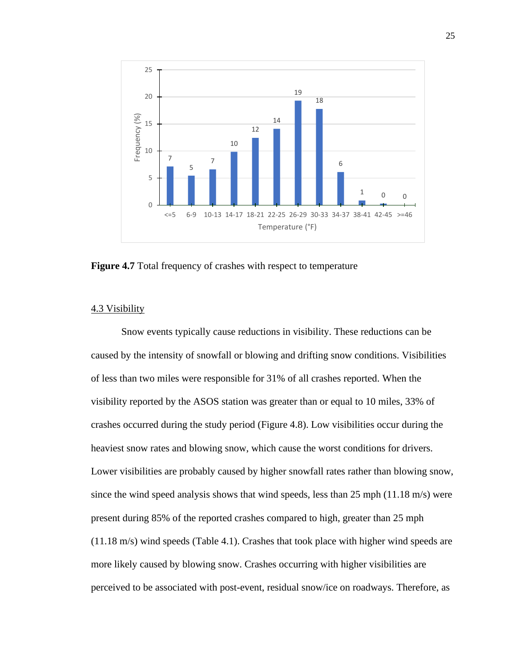

**Figure 4.7** Total frequency of crashes with respect to temperature

## 4.3 Visibility

Snow events typically cause reductions in visibility. These reductions can be caused by the intensity of snowfall or blowing and drifting snow conditions. Visibilities of less than two miles were responsible for 31% of all crashes reported. When the visibility reported by the ASOS station was greater than or equal to 10 miles, 33% of crashes occurred during the study period (Figure 4.8). Low visibilities occur during the heaviest snow rates and blowing snow, which cause the worst conditions for drivers. Lower visibilities are probably caused by higher snowfall rates rather than blowing snow, since the wind speed analysis shows that wind speeds, less than 25 mph (11.18 m/s) were present during 85% of the reported crashes compared to high, greater than 25 mph (11.18 m/s) wind speeds (Table 4.1). Crashes that took place with higher wind speeds are more likely caused by blowing snow. Crashes occurring with higher visibilities are perceived to be associated with post-event, residual snow/ice on roadways. Therefore, as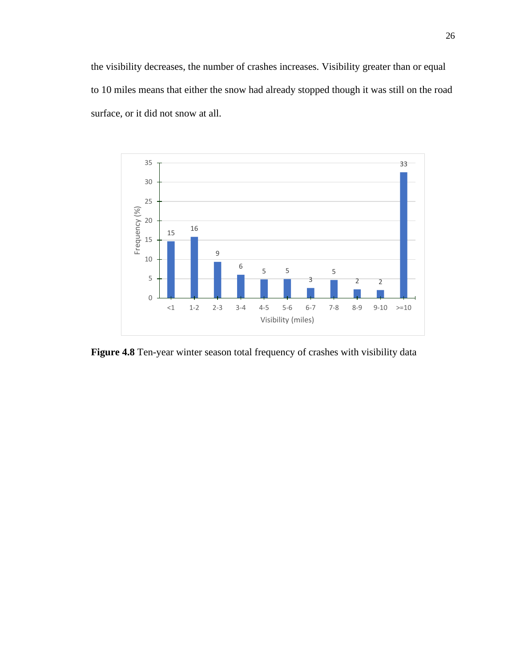the visibility decreases, the number of crashes increases. Visibility greater than or equal to 10 miles means that either the snow had already stopped though it was still on the road surface, or it did not snow at all.



**Figure 4.8** Ten-year winter season total frequency of crashes with visibility data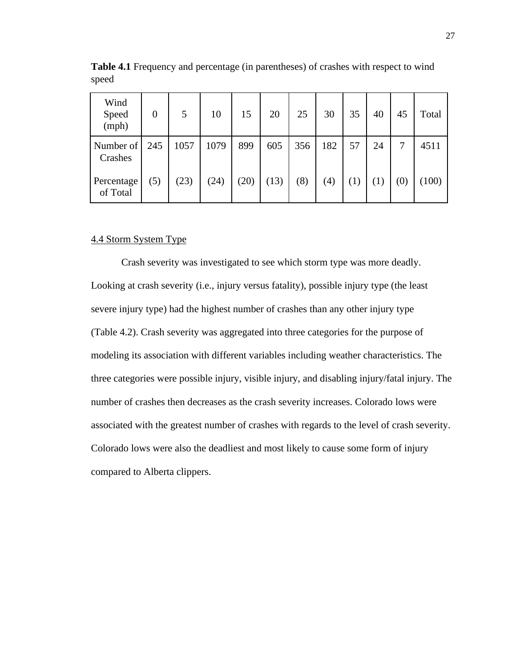| Wind<br>Speed<br>(mph) | $\overline{0}$ | 5    | 10   | 15   | 20   | 25  | 30  | 35  | 40  | 45                | Total |
|------------------------|----------------|------|------|------|------|-----|-----|-----|-----|-------------------|-------|
| Number of<br>Crashes   | 245            | 1057 | 1079 | 899  | 605  | 356 | 182 | 57  | 24  |                   | 4511  |
| Percentage<br>of Total | (5)            | (23) | (24) | (20) | (13) | (8) | (4) | (1) | (1) | $\left( 0\right)$ | 100)  |

**Table 4.1** Frequency and percentage (in parentheses) of crashes with respect to wind speed

## 4.4 Storm System Type

Crash severity was investigated to see which storm type was more deadly. Looking at crash severity (i.e., injury versus fatality), possible injury type (the least severe injury type) had the highest number of crashes than any other injury type (Table 4.2). Crash severity was aggregated into three categories for the purpose of modeling its association with different variables including weather characteristics. The three categories were possible injury, visible injury, and disabling injury/fatal injury. The number of crashes then decreases as the crash severity increases. Colorado lows were associated with the greatest number of crashes with regards to the level of crash severity. Colorado lows were also the deadliest and most likely to cause some form of injury compared to Alberta clippers.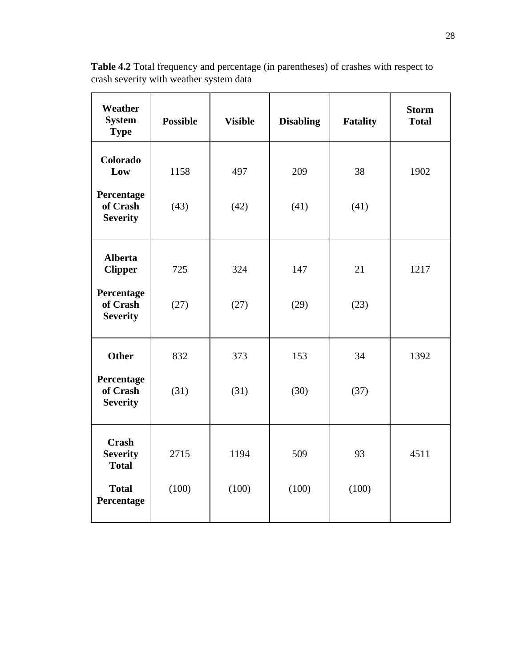| <b>Weather</b><br><b>System</b><br><b>Type</b>  | <b>Possible</b> | <b>Visible</b> | <b>Disabling</b> | <b>Fatality</b> | <b>Storm</b><br><b>Total</b> |
|-------------------------------------------------|-----------------|----------------|------------------|-----------------|------------------------------|
| Colorado<br>Low                                 | 1158            | 497            | 209              | 38              | 1902                         |
| Percentage<br>of Crash<br><b>Severity</b>       | (43)            | (42)           | (41)             | (41)            |                              |
| <b>Alberta</b><br><b>Clipper</b>                | 725             | 324            | 147              | 21              | 1217                         |
| Percentage<br>of Crash<br><b>Severity</b>       | (27)            | (27)           | (29)             | (23)            |                              |
| <b>Other</b>                                    | 832             | 373            | 153              | 34              | 1392                         |
| Percentage<br>of Crash<br><b>Severity</b>       | (31)            | (31)           | (30)             | (37)            |                              |
| <b>Crash</b><br><b>Severity</b><br><b>Total</b> | 2715            | 1194           | 509              | 93              | 4511                         |
| <b>Total</b><br>Percentage                      | (100)           | (100)          | (100)            | (100)           |                              |

**Table 4.2** Total frequency and percentage (in parentheses) of crashes with respect to crash severity with weather system data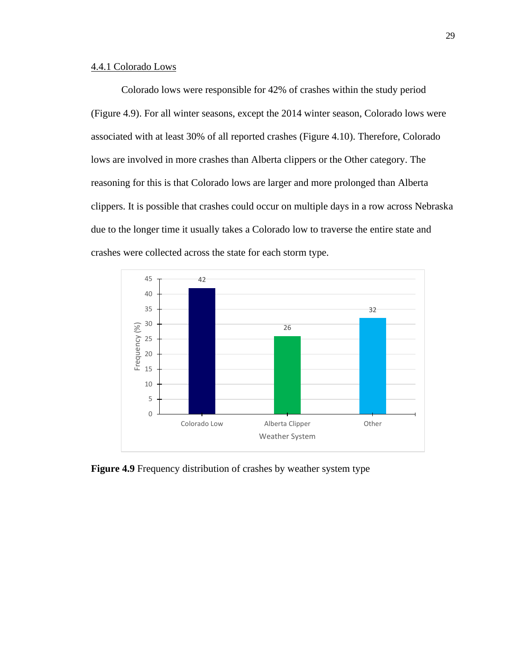## 4.4.1 Colorado Lows

Colorado lows were responsible for 42% of crashes within the study period (Figure 4.9). For all winter seasons, except the 2014 winter season, Colorado lows were associated with at least 30% of all reported crashes (Figure 4.10). Therefore, Colorado lows are involved in more crashes than Alberta clippers or the Other category. The reasoning for this is that Colorado lows are larger and more prolonged than Alberta clippers. It is possible that crashes could occur on multiple days in a row across Nebraska due to the longer time it usually takes a Colorado low to traverse the entire state and crashes were collected across the state for each storm type.



**Figure 4.9** Frequency distribution of crashes by weather system type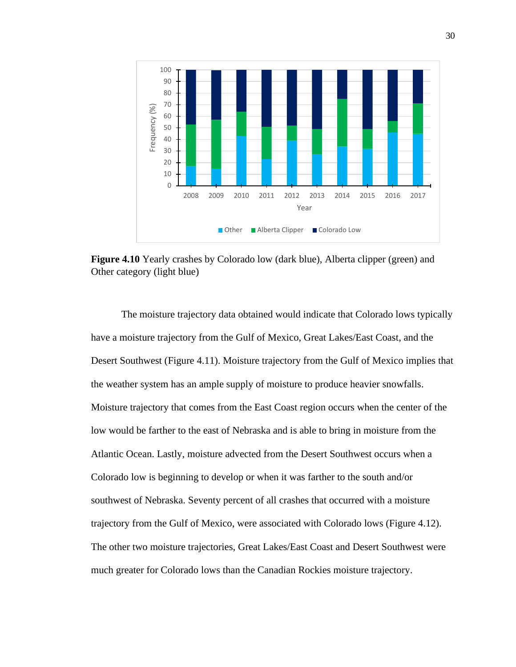

**Figure 4.10** Yearly crashes by Colorado low (dark blue), Alberta clipper (green) and Other category (light blue)

The moisture trajectory data obtained would indicate that Colorado lows typically have a moisture trajectory from the Gulf of Mexico, Great Lakes/East Coast, and the Desert Southwest (Figure 4.11). Moisture trajectory from the Gulf of Mexico implies that the weather system has an ample supply of moisture to produce heavier snowfalls. Moisture trajectory that comes from the East Coast region occurs when the center of the low would be farther to the east of Nebraska and is able to bring in moisture from the Atlantic Ocean. Lastly, moisture advected from the Desert Southwest occurs when a Colorado low is beginning to develop or when it was farther to the south and/or southwest of Nebraska. Seventy percent of all crashes that occurred with a moisture trajectory from the Gulf of Mexico, were associated with Colorado lows (Figure 4.12). The other two moisture trajectories, Great Lakes/East Coast and Desert Southwest were much greater for Colorado lows than the Canadian Rockies moisture trajectory.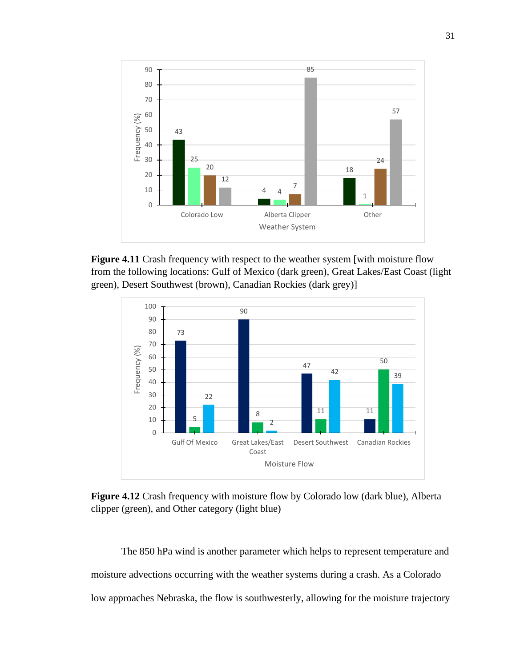

**Figure 4.11** Crash frequency with respect to the weather system [with moisture flow from the following locations: Gulf of Mexico (dark green), Great Lakes/East Coast (light green), Desert Southwest (brown), Canadian Rockies (dark grey)]



**Figure 4.12** Crash frequency with moisture flow by Colorado low (dark blue), Alberta clipper (green), and Other category (light blue)

The 850 hPa wind is another parameter which helps to represent temperature and moisture advections occurring with the weather systems during a crash. As a Colorado low approaches Nebraska, the flow is southwesterly, allowing for the moisture trajectory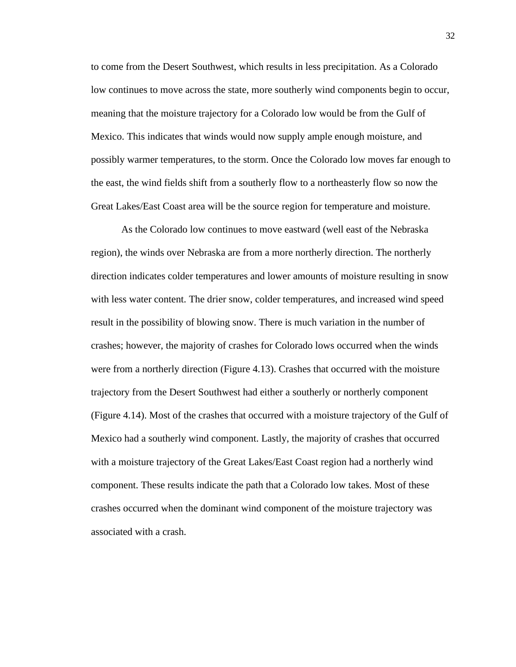to come from the Desert Southwest, which results in less precipitation. As a Colorado low continues to move across the state, more southerly wind components begin to occur, meaning that the moisture trajectory for a Colorado low would be from the Gulf of Mexico. This indicates that winds would now supply ample enough moisture, and possibly warmer temperatures, to the storm. Once the Colorado low moves far enough to the east, the wind fields shift from a southerly flow to a northeasterly flow so now the Great Lakes/East Coast area will be the source region for temperature and moisture.

As the Colorado low continues to move eastward (well east of the Nebraska region), the winds over Nebraska are from a more northerly direction. The northerly direction indicates colder temperatures and lower amounts of moisture resulting in snow with less water content. The drier snow, colder temperatures, and increased wind speed result in the possibility of blowing snow. There is much variation in the number of crashes; however, the majority of crashes for Colorado lows occurred when the winds were from a northerly direction (Figure 4.13). Crashes that occurred with the moisture trajectory from the Desert Southwest had either a southerly or northerly component (Figure 4.14). Most of the crashes that occurred with a moisture trajectory of the Gulf of Mexico had a southerly wind component. Lastly, the majority of crashes that occurred with a moisture trajectory of the Great Lakes/East Coast region had a northerly wind component. These results indicate the path that a Colorado low takes. Most of these crashes occurred when the dominant wind component of the moisture trajectory was associated with a crash.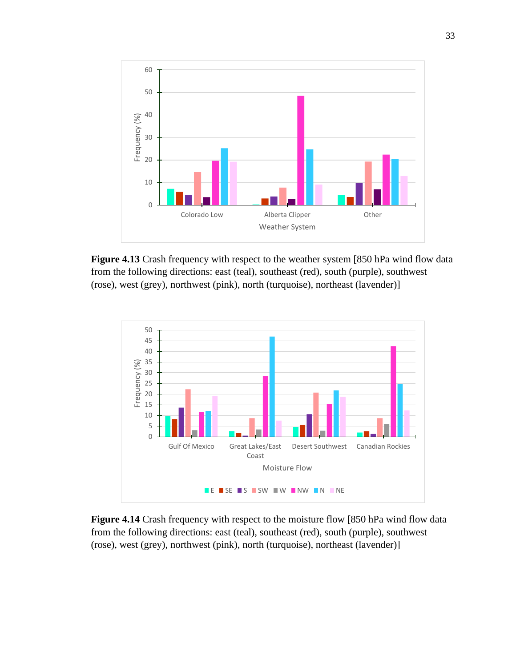

**Figure 4.13** Crash frequency with respect to the weather system [850 hPa wind flow data from the following directions: east (teal), southeast (red), south (purple), southwest (rose), west (grey), northwest (pink), north (turquoise), northeast (lavender)]



**Figure 4.14** Crash frequency with respect to the moisture flow [850 hPa wind flow data from the following directions: east (teal), southeast (red), south (purple), southwest (rose), west (grey), northwest (pink), north (turquoise), northeast (lavender)]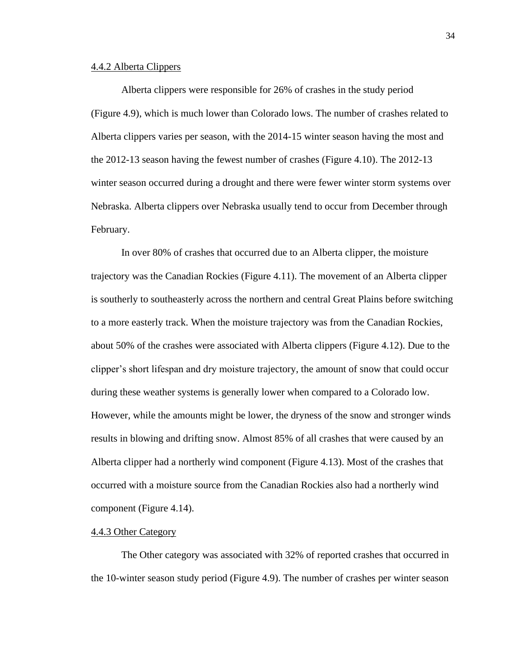## 4.4.2 Alberta Clippers

Alberta clippers were responsible for 26% of crashes in the study period (Figure 4.9), which is much lower than Colorado lows. The number of crashes related to Alberta clippers varies per season, with the 2014-15 winter season having the most and the 2012-13 season having the fewest number of crashes (Figure 4.10). The 2012-13 winter season occurred during a drought and there were fewer winter storm systems over Nebraska. Alberta clippers over Nebraska usually tend to occur from December through February.

In over 80% of crashes that occurred due to an Alberta clipper, the moisture trajectory was the Canadian Rockies (Figure 4.11). The movement of an Alberta clipper is southerly to southeasterly across the northern and central Great Plains before switching to a more easterly track. When the moisture trajectory was from the Canadian Rockies, about 50% of the crashes were associated with Alberta clippers (Figure 4.12). Due to the clipper's short lifespan and dry moisture trajectory, the amount of snow that could occur during these weather systems is generally lower when compared to a Colorado low. However, while the amounts might be lower, the dryness of the snow and stronger winds results in blowing and drifting snow. Almost 85% of all crashes that were caused by an Alberta clipper had a northerly wind component (Figure 4.13). Most of the crashes that occurred with a moisture source from the Canadian Rockies also had a northerly wind component (Figure 4.14).

## 4.4.3 Other Category

The Other category was associated with 32% of reported crashes that occurred in the 10-winter season study period (Figure 4.9). The number of crashes per winter season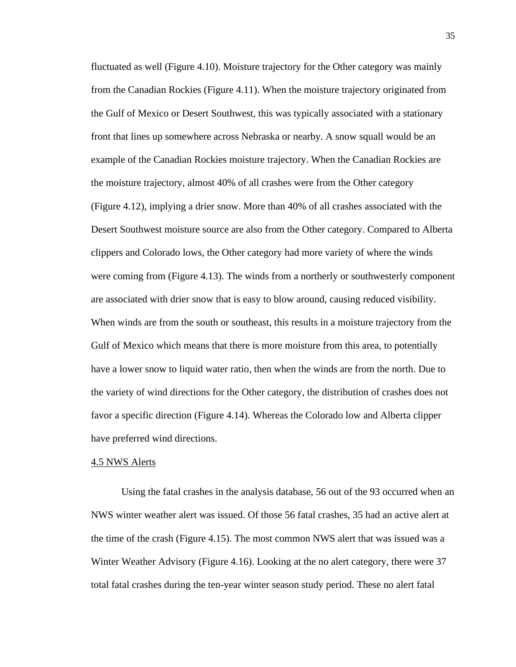fluctuated as well (Figure 4.10). Moisture trajectory for the Other category was mainly from the Canadian Rockies (Figure 4.11). When the moisture trajectory originated from the Gulf of Mexico or Desert Southwest, this was typically associated with a stationary front that lines up somewhere across Nebraska or nearby. A snow squall would be an example of the Canadian Rockies moisture trajectory. When the Canadian Rockies are the moisture trajectory, almost 40% of all crashes were from the Other category (Figure 4.12), implying a drier snow. More than 40% of all crashes associated with the Desert Southwest moisture source are also from the Other category. Compared to Alberta clippers and Colorado lows, the Other category had more variety of where the winds were coming from (Figure 4.13). The winds from a northerly or southwesterly component are associated with drier snow that is easy to blow around, causing reduced visibility. When winds are from the south or southeast, this results in a moisture trajectory from the Gulf of Mexico which means that there is more moisture from this area, to potentially have a lower snow to liquid water ratio, then when the winds are from the north. Due to the variety of wind directions for the Other category, the distribution of crashes does not favor a specific direction (Figure 4.14). Whereas the Colorado low and Alberta clipper have preferred wind directions.

## 4.5 NWS Alerts

Using the fatal crashes in the analysis database, 56 out of the 93 occurred when an NWS winter weather alert was issued. Of those 56 fatal crashes, 35 had an active alert at the time of the crash (Figure 4.15). The most common NWS alert that was issued was a Winter Weather Advisory (Figure 4.16). Looking at the no alert category, there were 37 total fatal crashes during the ten-year winter season study period. These no alert fatal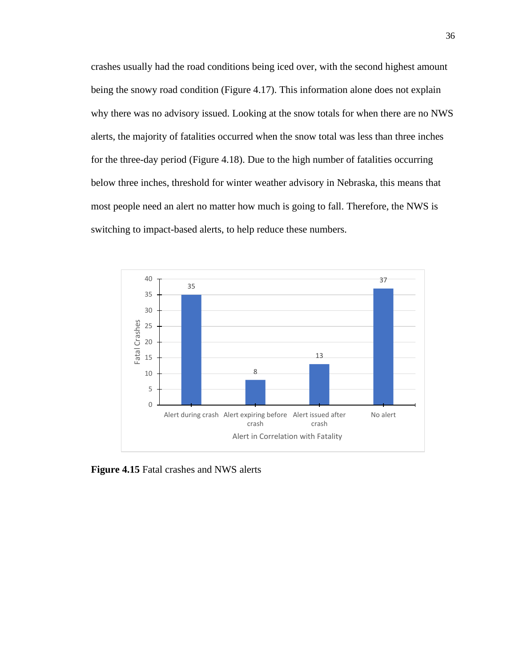crashes usually had the road conditions being iced over, with the second highest amount being the snowy road condition (Figure 4.17). This information alone does not explain why there was no advisory issued. Looking at the snow totals for when there are no NWS alerts, the majority of fatalities occurred when the snow total was less than three inches for the three-day period (Figure 4.18). Due to the high number of fatalities occurring below three inches, threshold for winter weather advisory in Nebraska, this means that most people need an alert no matter how much is going to fall. Therefore, the NWS is switching to impact-based alerts, to help reduce these numbers.



**Figure 4.15** Fatal crashes and NWS alerts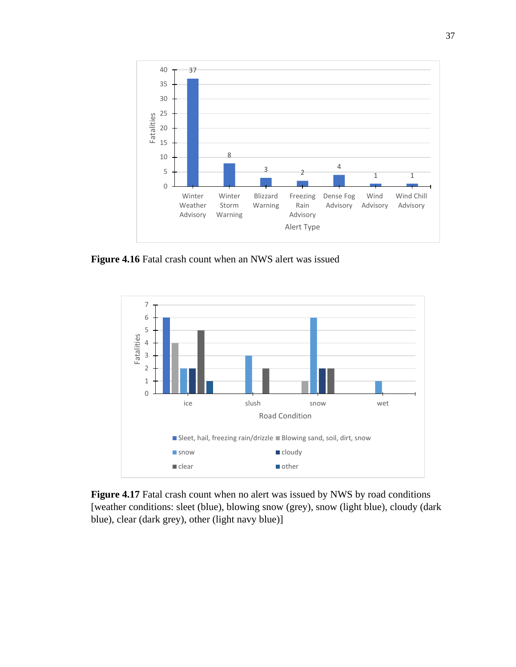

**Figure 4.16** Fatal crash count when an NWS alert was issued



**Figure 4.17** Fatal crash count when no alert was issued by NWS by road conditions [weather conditions: sleet (blue), blowing snow (grey), snow (light blue), cloudy (dark blue), clear (dark grey), other (light navy blue)]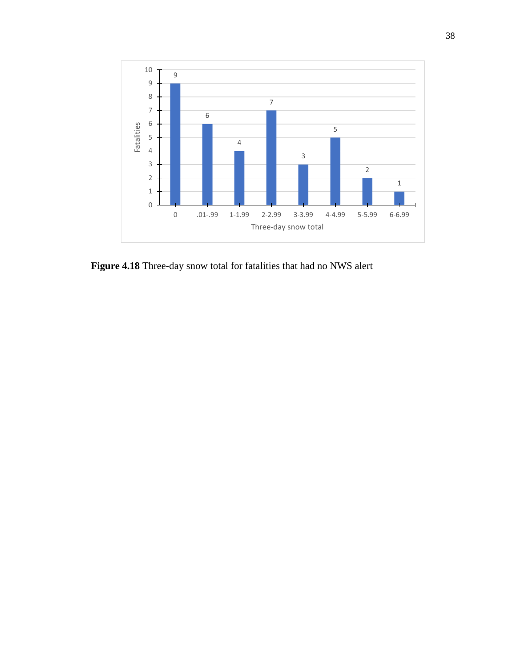

**Figure 4.18** Three-day snow total for fatalities that had no NWS alert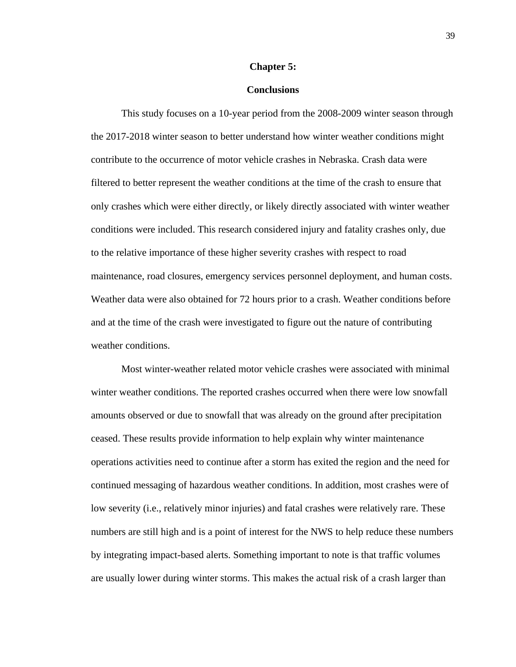#### **Chapter 5:**

## **Conclusions**

This study focuses on a 10-year period from the 2008-2009 winter season through the 2017-2018 winter season to better understand how winter weather conditions might contribute to the occurrence of motor vehicle crashes in Nebraska. Crash data were filtered to better represent the weather conditions at the time of the crash to ensure that only crashes which were either directly, or likely directly associated with winter weather conditions were included. This research considered injury and fatality crashes only, due to the relative importance of these higher severity crashes with respect to road maintenance, road closures, emergency services personnel deployment, and human costs. Weather data were also obtained for 72 hours prior to a crash. Weather conditions before and at the time of the crash were investigated to figure out the nature of contributing weather conditions.

Most winter-weather related motor vehicle crashes were associated with minimal winter weather conditions. The reported crashes occurred when there were low snowfall amounts observed or due to snowfall that was already on the ground after precipitation ceased. These results provide information to help explain why winter maintenance operations activities need to continue after a storm has exited the region and the need for continued messaging of hazardous weather conditions. In addition, most crashes were of low severity (i.e., relatively minor injuries) and fatal crashes were relatively rare. These numbers are still high and is a point of interest for the NWS to help reduce these numbers by integrating impact-based alerts. Something important to note is that traffic volumes are usually lower during winter storms. This makes the actual risk of a crash larger than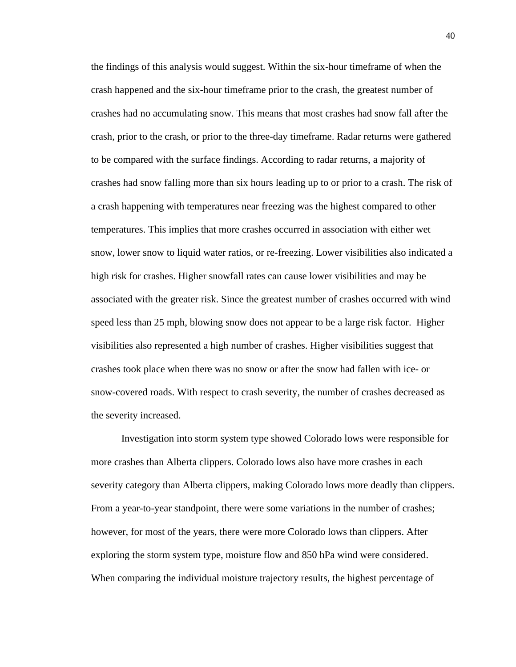the findings of this analysis would suggest. Within the six-hour timeframe of when the crash happened and the six-hour timeframe prior to the crash, the greatest number of crashes had no accumulating snow. This means that most crashes had snow fall after the crash, prior to the crash, or prior to the three-day timeframe. Radar returns were gathered to be compared with the surface findings. According to radar returns, a majority of crashes had snow falling more than six hours leading up to or prior to a crash. The risk of a crash happening with temperatures near freezing was the highest compared to other temperatures. This implies that more crashes occurred in association with either wet snow, lower snow to liquid water ratios, or re-freezing. Lower visibilities also indicated a high risk for crashes. Higher snowfall rates can cause lower visibilities and may be associated with the greater risk. Since the greatest number of crashes occurred with wind speed less than 25 mph, blowing snow does not appear to be a large risk factor. Higher visibilities also represented a high number of crashes. Higher visibilities suggest that crashes took place when there was no snow or after the snow had fallen with ice- or snow-covered roads. With respect to crash severity, the number of crashes decreased as the severity increased.

Investigation into storm system type showed Colorado lows were responsible for more crashes than Alberta clippers. Colorado lows also have more crashes in each severity category than Alberta clippers, making Colorado lows more deadly than clippers. From a year-to-year standpoint, there were some variations in the number of crashes; however, for most of the years, there were more Colorado lows than clippers. After exploring the storm system type, moisture flow and 850 hPa wind were considered. When comparing the individual moisture trajectory results, the highest percentage of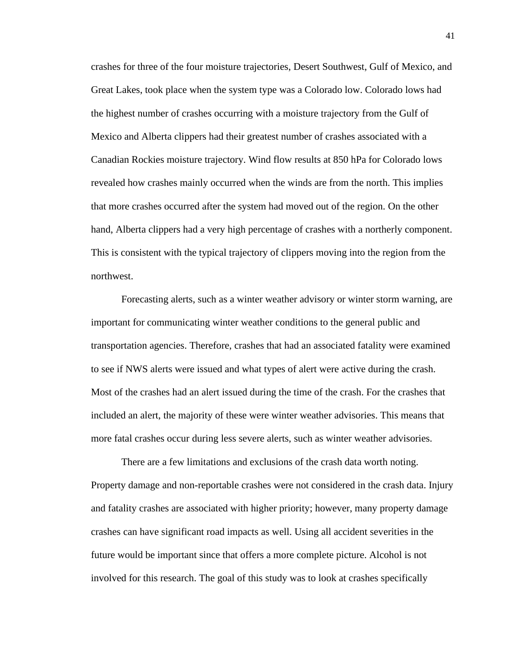crashes for three of the four moisture trajectories, Desert Southwest, Gulf of Mexico, and Great Lakes, took place when the system type was a Colorado low. Colorado lows had the highest number of crashes occurring with a moisture trajectory from the Gulf of Mexico and Alberta clippers had their greatest number of crashes associated with a Canadian Rockies moisture trajectory. Wind flow results at 850 hPa for Colorado lows revealed how crashes mainly occurred when the winds are from the north. This implies that more crashes occurred after the system had moved out of the region. On the other hand, Alberta clippers had a very high percentage of crashes with a northerly component. This is consistent with the typical trajectory of clippers moving into the region from the northwest.

Forecasting alerts, such as a winter weather advisory or winter storm warning, are important for communicating winter weather conditions to the general public and transportation agencies. Therefore, crashes that had an associated fatality were examined to see if NWS alerts were issued and what types of alert were active during the crash. Most of the crashes had an alert issued during the time of the crash. For the crashes that included an alert, the majority of these were winter weather advisories. This means that more fatal crashes occur during less severe alerts, such as winter weather advisories.

There are a few limitations and exclusions of the crash data worth noting. Property damage and non-reportable crashes were not considered in the crash data. Injury and fatality crashes are associated with higher priority; however, many property damage crashes can have significant road impacts as well. Using all accident severities in the future would be important since that offers a more complete picture. Alcohol is not involved for this research. The goal of this study was to look at crashes specifically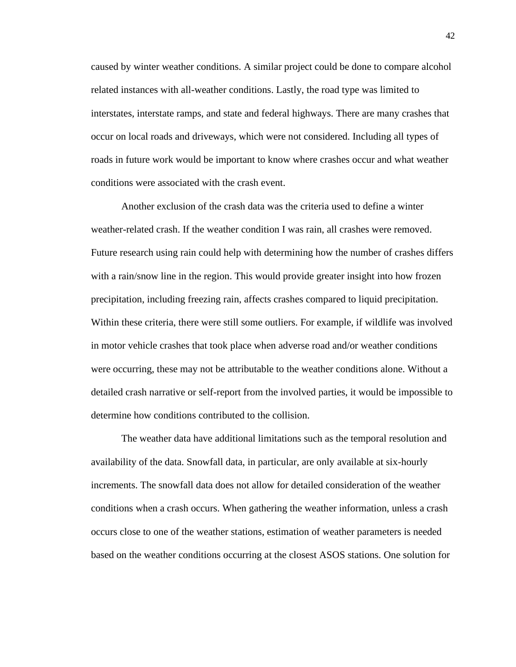caused by winter weather conditions. A similar project could be done to compare alcohol related instances with all-weather conditions. Lastly, the road type was limited to interstates, interstate ramps, and state and federal highways. There are many crashes that occur on local roads and driveways, which were not considered. Including all types of roads in future work would be important to know where crashes occur and what weather conditions were associated with the crash event.

Another exclusion of the crash data was the criteria used to define a winter weather-related crash. If the weather condition I was rain, all crashes were removed. Future research using rain could help with determining how the number of crashes differs with a rain/snow line in the region. This would provide greater insight into how frozen precipitation, including freezing rain, affects crashes compared to liquid precipitation. Within these criteria, there were still some outliers. For example, if wildlife was involved in motor vehicle crashes that took place when adverse road and/or weather conditions were occurring, these may not be attributable to the weather conditions alone. Without a detailed crash narrative or self-report from the involved parties, it would be impossible to determine how conditions contributed to the collision.

The weather data have additional limitations such as the temporal resolution and availability of the data. Snowfall data, in particular, are only available at six-hourly increments. The snowfall data does not allow for detailed consideration of the weather conditions when a crash occurs. When gathering the weather information, unless a crash occurs close to one of the weather stations, estimation of weather parameters is needed based on the weather conditions occurring at the closest ASOS stations. One solution for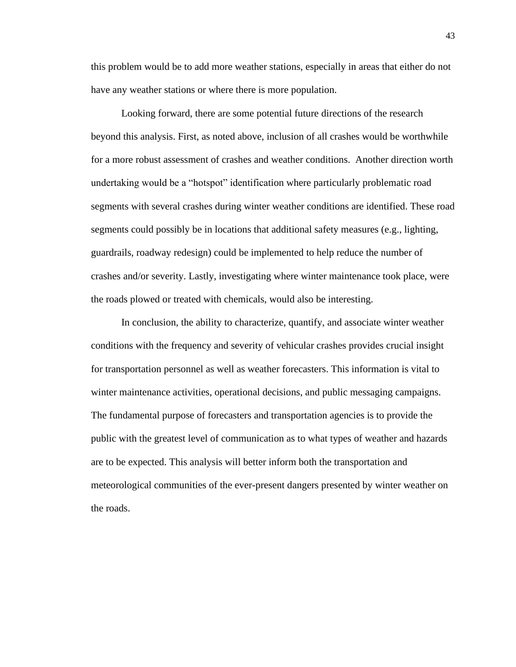this problem would be to add more weather stations, especially in areas that either do not have any weather stations or where there is more population.

Looking forward, there are some potential future directions of the research beyond this analysis. First, as noted above, inclusion of all crashes would be worthwhile for a more robust assessment of crashes and weather conditions. Another direction worth undertaking would be a "hotspot" identification where particularly problematic road segments with several crashes during winter weather conditions are identified. These road segments could possibly be in locations that additional safety measures (e.g., lighting, guardrails, roadway redesign) could be implemented to help reduce the number of crashes and/or severity. Lastly, investigating where winter maintenance took place, were the roads plowed or treated with chemicals, would also be interesting.

In conclusion, the ability to characterize, quantify, and associate winter weather conditions with the frequency and severity of vehicular crashes provides crucial insight for transportation personnel as well as weather forecasters. This information is vital to winter maintenance activities, operational decisions, and public messaging campaigns. The fundamental purpose of forecasters and transportation agencies is to provide the public with the greatest level of communication as to what types of weather and hazards are to be expected. This analysis will better inform both the transportation and meteorological communities of the ever-present dangers presented by winter weather on the roads.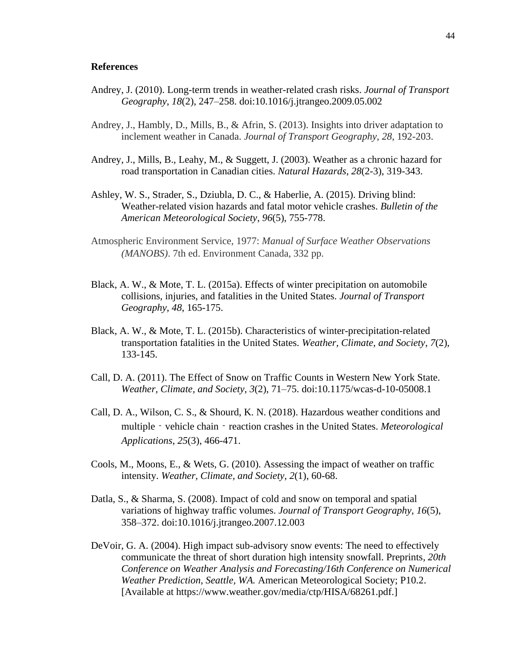## **References**

- Andrey, J. (2010). Long-term trends in weather-related crash risks. *Journal of Transport Geography*, *18*(2), 247–258. doi:10.1016/j.jtrangeo.2009.05.002
- Andrey, J., Hambly, D., Mills, B., & Afrin, S. (2013). Insights into driver adaptation to inclement weather in Canada. *Journal of Transport Geography*, *28*, 192-203.
- Andrey, J., Mills, B., Leahy, M., & Suggett, J. (2003). Weather as a chronic hazard for road transportation in Canadian cities. *Natural Hazards*, *28*(2-3), 319-343.
- Ashley, W. S., Strader, S., Dziubla, D. C., & Haberlie, A. (2015). Driving blind: Weather-related vision hazards and fatal motor vehicle crashes. *Bulletin of the American Meteorological Society*, *96*(5), 755-778.
- Atmospheric Environment Service, 1977: *Manual of Surface Weather Observations (MANOBS)*. 7th ed. Environment Canada, 332 pp.
- Black, A. W., & Mote, T. L. (2015a). Effects of winter precipitation on automobile collisions, injuries, and fatalities in the United States. *Journal of Transport Geography*, *48*, 165-175.
- Black, A. W., & Mote, T. L. (2015b). Characteristics of winter-precipitation-related transportation fatalities in the United States. *Weather, Climate, and Society*, *7*(2), 133-145.
- Call, D. A. (2011). The Effect of Snow on Traffic Counts in Western New York State. *Weather, Climate, and Society*, *3*(2), 71–75. doi:10.1175/wcas-d-10-05008.1
- Call, D. A., Wilson, C. S., & Shourd, K. N. (2018). Hazardous weather conditions and multiple – vehicle chain – reaction crashes in the United States. *Meteorological Applications*, *25*(3), 466-471.
- Cools, M., Moons, E., & Wets, G. (2010). Assessing the impact of weather on traffic intensity. *Weather, Climate, and Society*, *2*(1), 60-68.
- Datla, S., & Sharma, S. (2008). Impact of cold and snow on temporal and spatial variations of highway traffic volumes. *Journal of Transport Geography*, *16*(5), 358–372. doi:10.1016/j.jtrangeo.2007.12.003
- DeVoir, G. A. (2004). High impact sub-advisory snow events: The need to effectively communicate the threat of short duration high intensity snowfall. Preprints*, 20th Conference on Weather Analysis and Forecasting/16th Conference on Numerical Weather Prediction, Seattle, WA.* American Meteorological Society; P10.2. [Available at https://www.weather.gov/media/ctp/HISA/68261.pdf.]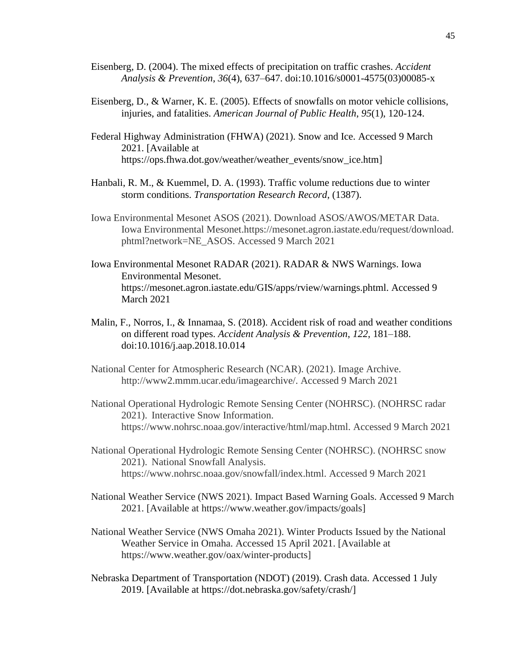- Eisenberg, D. (2004). The mixed effects of precipitation on traffic crashes. *Accident Analysis & Prevention*, *36*(4), 637–647. doi:10.1016/s0001-4575(03)00085-x
- Eisenberg, D., & Warner, K. E. (2005). Effects of snowfalls on motor vehicle collisions, injuries, and fatalities. *American Journal of Public Health*, *95*(1), 120-124.
- Federal Highway Administration (FHWA) (2021). Snow and Ice. Accessed 9 March 2021. [Available at https://ops.fhwa.dot.gov/weather/weather\_events/snow\_ice.htm]
- Hanbali, R. M., & Kuemmel, D. A. (1993). Traffic volume reductions due to winter storm conditions. *Transportation Research Record*, (1387).
- Iowa Environmental Mesonet ASOS (2021). Download ASOS/AWOS/METAR Data. Iowa Environmental Mesonet.https://mesonet.agron.iastate.edu/request/download. phtml?network=NE\_ASOS. Accessed 9 March 2021
- Iowa Environmental Mesonet RADAR (2021). RADAR & NWS Warnings. Iowa Environmental Mesonet. https://mesonet.agron.iastate.edu/GIS/apps/rview/warnings.phtml. Accessed 9 March 2021
- Malin, F., Norros, I., & Innamaa, S. (2018). Accident risk of road and weather conditions on different road types. *Accident Analysis & Prevention*, *122*, 181–188. doi:10.1016/j.aap.2018.10.014
- National Center for Atmospheric Research (NCAR). (2021). Image Archive. http://www2.mmm.ucar.edu/imagearchive/. Accessed 9 March 2021
- National Operational Hydrologic Remote Sensing Center (NOHRSC). (NOHRSC radar 2021). Interactive Snow Information. https://www.nohrsc.noaa.gov/interactive/html/map.html. Accessed 9 March 2021
- National Operational Hydrologic Remote Sensing Center (NOHRSC). (NOHRSC snow 2021). National Snowfall Analysis. https://www.nohrsc.noaa.gov/snowfall/index.html. Accessed 9 March 2021
- National Weather Service (NWS 2021). Impact Based Warning Goals. Accessed 9 March 2021. [Available at https://www.weather.gov/impacts/goals]
- National Weather Service (NWS Omaha 2021). Winter Products Issued by the National Weather Service in Omaha. Accessed 15 April 2021. [Available at https://www.weather.gov/oax/winter-products]
- Nebraska Department of Transportation (NDOT) (2019). Crash data. Accessed 1 July 2019. [Available at https://dot.nebraska.gov/safety/crash/]